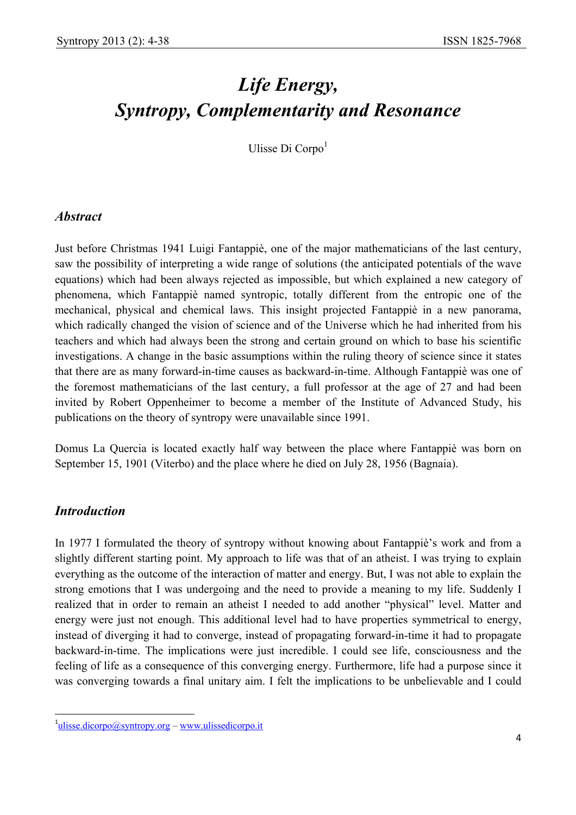# *Life Energy, Syntropy, Complementarity and Resonance*

Ulisse Di Corpo<sup>1</sup>

## *Abstract*

Just before Christmas 1941 Luigi Fantappiè, one of the major mathematicians of the last century, saw the possibility of interpreting a wide range of solutions (the anticipated potentials of the wave equations) which had been always rejected as impossible, but which explained a new category of phenomena, which Fantappiè named syntropic, totally different from the entropic one of the mechanical, physical and chemical laws. This insight projected Fantappiè in a new panorama, which radically changed the vision of science and of the Universe which he had inherited from his teachers and which had always been the strong and certain ground on which to base his scientific investigations. A change in the basic assumptions within the ruling theory of science since it states that there are as many forward-in-time causes as backward-in-time. Although Fantappiè was one of the foremost mathematicians of the last century, a full professor at the age of 27 and had been invited by Robert Oppenheimer to become a member of the Institute of Advanced Study, his publications on the theory of syntropy were unavailable since 1991.

Domus La Quercia is located exactly half way between the place where Fantappiè was born on September 15, 1901 (Viterbo) and the place where he died on July 28, 1956 (Bagnaia).

#### *Introduction*

 $\overline{\phantom{a}}$ 

In 1977 I formulated the theory of syntropy without knowing about Fantappiè's work and from a slightly different starting point. My approach to life was that of an atheist. I was trying to explain everything as the outcome of the interaction of matter and energy. But, I was not able to explain the strong emotions that I was undergoing and the need to provide a meaning to my life. Suddenly I realized that in order to remain an atheist I needed to add another "physical" level. Matter and energy were just not enough. This additional level had to have properties symmetrical to energy, instead of diverging it had to converge, instead of propagating forward-in-time it had to propagate backward-in-time. The implications were just incredible. I could see life, consciousness and the feeling of life as a consequence of this converging energy. Furthermore, life had a purpose since it was converging towards a final unitary aim. I felt the implications to be unbelievable and I could

<sup>&</sup>lt;sup>1</sup>ulisse.dicorpo@syntropy.org – www.ulissedicorpo.it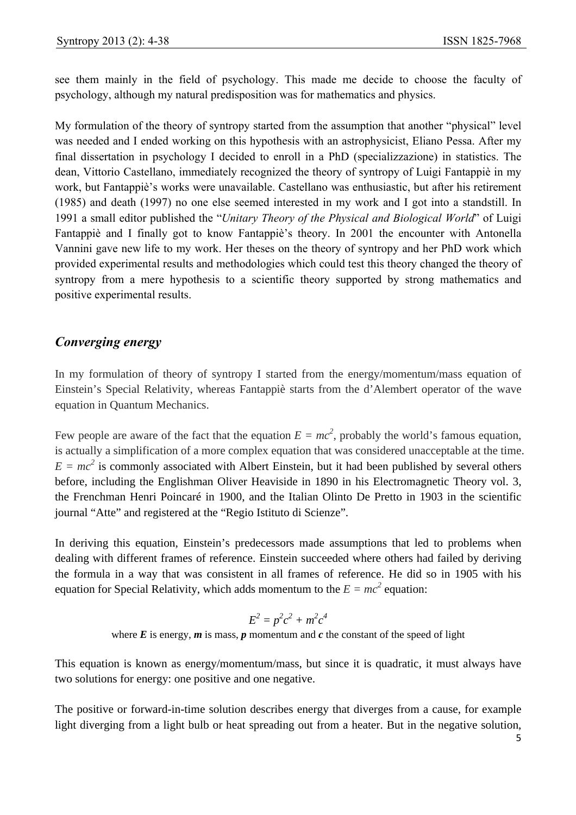see them mainly in the field of psychology. This made me decide to choose the faculty of psychology, although my natural predisposition was for mathematics and physics.

My formulation of the theory of syntropy started from the assumption that another "physical" level was needed and I ended working on this hypothesis with an astrophysicist, Eliano Pessa. After my final dissertation in psychology I decided to enroll in a PhD (specializzazione) in statistics. The dean, Vittorio Castellano, immediately recognized the theory of syntropy of Luigi Fantappiè in my work, but Fantappiè's works were unavailable. Castellano was enthusiastic, but after his retirement (1985) and death (1997) no one else seemed interested in my work and I got into a standstill. In 1991 a small editor published the "*Unitary Theory of the Physical and Biological World*" of Luigi Fantappiè and I finally got to know Fantappiè's theory. In 2001 the encounter with Antonella Vannini gave new life to my work. Her theses on the theory of syntropy and her PhD work which provided experimental results and methodologies which could test this theory changed the theory of syntropy from a mere hypothesis to a scientific theory supported by strong mathematics and positive experimental results.

# *Converging energy*

In my formulation of theory of syntropy I started from the energy/momentum/mass equation of Einstein's Special Relativity, whereas Fantappiè starts from the d'Alembert operator of the wave equation in Quantum Mechanics.

Few people are aware of the fact that the equation  $E = mc^2$ , probably the world's famous equation, is actually a simplification of a more complex equation that was considered unacceptable at the time.  $E = mc^2$  is commonly associated with Albert Einstein, but it had been published by several others before, including the Englishman Oliver Heaviside in 1890 in his Electromagnetic Theory vol. 3, the Frenchman Henri Poincaré in 1900, and the Italian Olinto De Pretto in 1903 in the scientific journal "Atte" and registered at the "Regio Istituto di Scienze".

In deriving this equation, Einstein's predecessors made assumptions that led to problems when dealing with different frames of reference. Einstein succeeded where others had failed by deriving the formula in a way that was consistent in all frames of reference. He did so in 1905 with his equation for Special Relativity, which adds momentum to the  $E = mc^2$  equation:

$$
E^2 = p^2c^2 + m^2c^4
$$

where  $E$  is energy,  $m$  is mass,  $p$  momentum and  $c$  the constant of the speed of light

This equation is known as energy/momentum/mass, but since it is quadratic, it must always have two solutions for energy: one positive and one negative.

The positive or forward-in-time solution describes energy that diverges from a cause, for example light diverging from a light bulb or heat spreading out from a heater. But in the negative solution,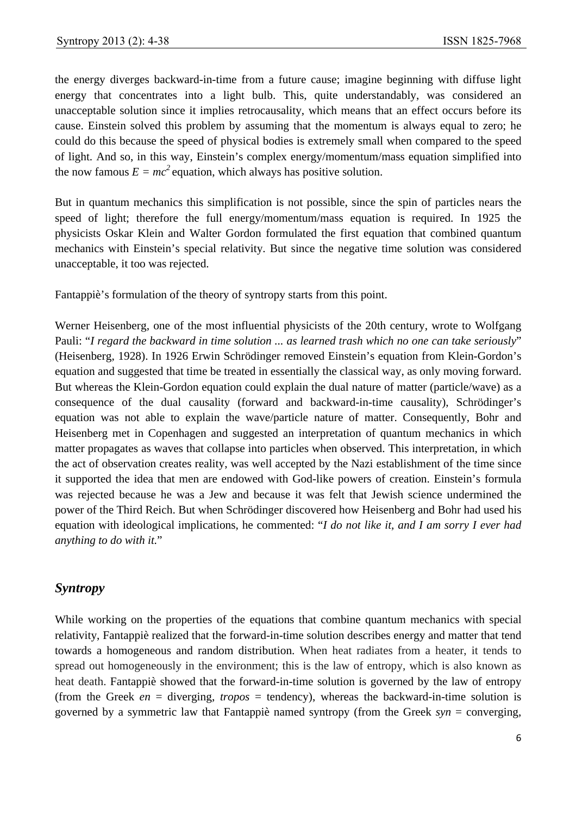the energy diverges backward-in-time from a future cause; imagine beginning with diffuse light energy that concentrates into a light bulb. This, quite understandably, was considered an unacceptable solution since it implies retrocausality, which means that an effect occurs before its cause. Einstein solved this problem by assuming that the momentum is always equal to zero; he could do this because the speed of physical bodies is extremely small when compared to the speed of light. And so, in this way, Einstein's complex energy/momentum/mass equation simplified into the now famous  $E = mc^2$  equation, which always has positive solution.

But in quantum mechanics this simplification is not possible, since the spin of particles nears the speed of light; therefore the full energy/momentum/mass equation is required. In 1925 the physicists Oskar Klein and Walter Gordon formulated the first equation that combined quantum mechanics with Einstein's special relativity. But since the negative time solution was considered unacceptable, it too was rejected.

Fantappiè's formulation of the theory of syntropy starts from this point.

Werner Heisenberg, one of the most influential physicists of the 20th century, wrote to Wolfgang Pauli: "*I regard the backward in time solution ... as learned trash which no one can take seriously*" (Heisenberg, 1928). In 1926 Erwin Schrödinger removed Einstein's equation from Klein-Gordon's equation and suggested that time be treated in essentially the classical way, as only moving forward. But whereas the Klein-Gordon equation could explain the dual nature of matter (particle/wave) as a consequence of the dual causality (forward and backward-in-time causality), Schrödinger's equation was not able to explain the wave/particle nature of matter. Consequently, Bohr and Heisenberg met in Copenhagen and suggested an interpretation of quantum mechanics in which matter propagates as waves that collapse into particles when observed. This interpretation, in which the act of observation creates reality, was well accepted by the Nazi establishment of the time since it supported the idea that men are endowed with God-like powers of creation. Einstein's formula was rejected because he was a Jew and because it was felt that Jewish science undermined the power of the Third Reich. But when Schrödinger discovered how Heisenberg and Bohr had used his equation with ideological implications, he commented: "*I do not like it, and I am sorry I ever had anything to do with it.*"

# *Syntropy*

While working on the properties of the equations that combine quantum mechanics with special relativity, Fantappiè realized that the forward-in-time solution describes energy and matter that tend towards a homogeneous and random distribution. When heat radiates from a heater, it tends to spread out homogeneously in the environment; this is the law of entropy, which is also known as heat death. Fantappiè showed that the forward-in-time solution is governed by the law of entropy (from the Greek *en* = diverging, *tropos* = tendency), whereas the backward-in-time solution is governed by a symmetric law that Fantappiè named syntropy (from the Greek *syn* = converging,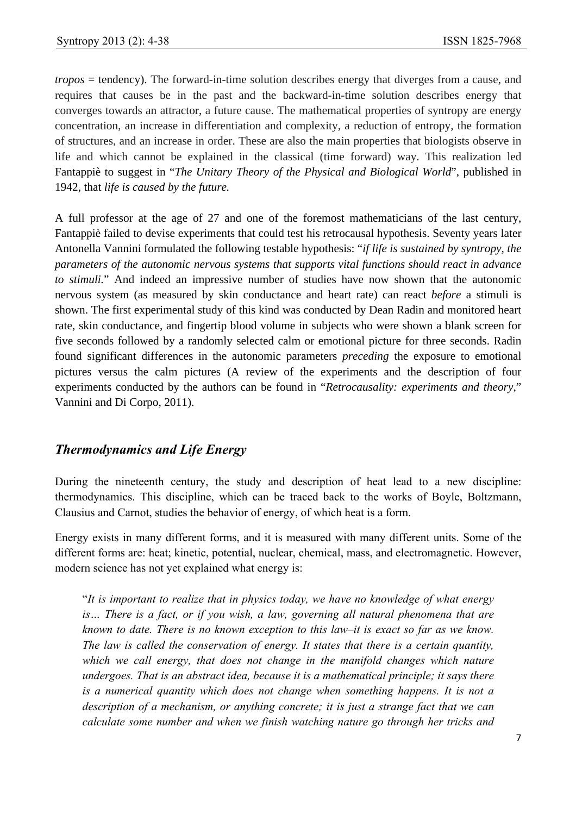*tropos* = tendency). The forward-in-time solution describes energy that diverges from a cause, and requires that causes be in the past and the backward-in-time solution describes energy that converges towards an attractor, a future cause. The mathematical properties of syntropy are energy concentration, an increase in differentiation and complexity, a reduction of entropy, the formation of structures, and an increase in order. These are also the main properties that biologists observe in life and which cannot be explained in the classical (time forward) way. This realization led Fantappiè to suggest in "*The Unitary Theory of the Physical and Biological World*", published in 1942, that *life is caused by the future.*

A full professor at the age of 27 and one of the foremost mathematicians of the last century, Fantappiè failed to devise experiments that could test his retrocausal hypothesis. Seventy years later Antonella Vannini formulated the following testable hypothesis: "*if life is sustained by syntropy, the parameters of the autonomic nervous systems that supports vital functions should react in advance to stimuli.*" And indeed an impressive number of studies have now shown that the autonomic nervous system (as measured by skin conductance and heart rate) can react *before* a stimuli is shown. The first experimental study of this kind was conducted by Dean Radin and monitored heart rate, skin conductance, and fingertip blood volume in subjects who were shown a blank screen for five seconds followed by a randomly selected calm or emotional picture for three seconds. Radin found significant differences in the autonomic parameters *preceding* the exposure to emotional pictures versus the calm pictures (A review of the experiments and the description of four experiments conducted by the authors can be found in "*Retrocausality: experiments and theory*," Vannini and Di Corpo, 2011).

## *Thermodynamics and Life Energy*

During the nineteenth century, the study and description of heat lead to a new discipline: thermodynamics. This discipline, which can be traced back to the works of Boyle, Boltzmann, Clausius and Carnot, studies the behavior of energy, of which heat is a form.

Energy exists in many different forms, and it is measured with many different units. Some of the different forms are: heat; kinetic, potential, nuclear, chemical, mass, and electromagnetic. However, modern science has not yet explained what energy is:

"*It is important to realize that in physics today, we have no knowledge of what energy is… There is a fact, or if you wish, a law, governing all natural phenomena that are known to date. There is no known exception to this law–it is exact so far as we know. The law is called the conservation of energy. It states that there is a certain quantity,*  which we call energy, that does not change in the manifold changes which nature *undergoes. That is an abstract idea, because it is a mathematical principle; it says there is a numerical quantity which does not change when something happens. It is not a description of a mechanism, or anything concrete; it is just a strange fact that we can calculate some number and when we finish watching nature go through her tricks and*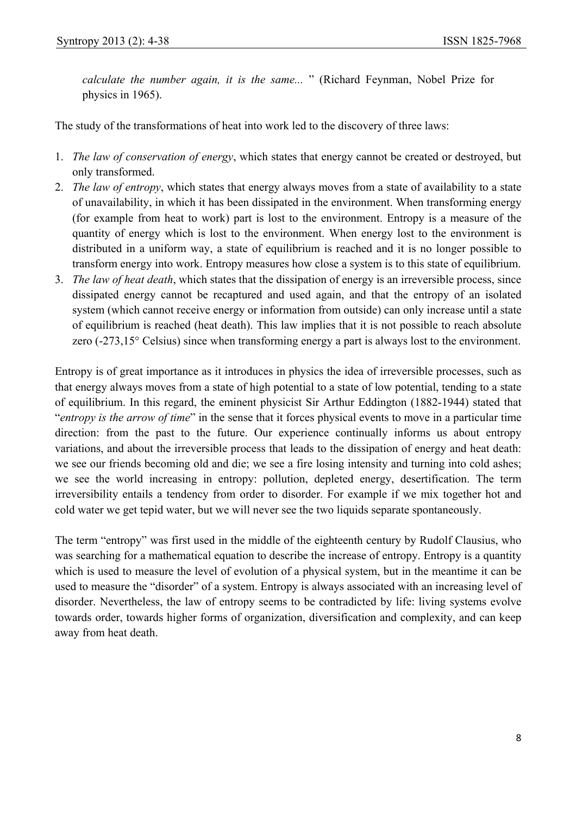*calculate the number again, it is the same...* " (Richard Feynman, Nobel Prize for physics in 1965).

The study of the transformations of heat into work led to the discovery of three laws:

- 1. *The law of conservation of energy*, which states that energy cannot be created or destroyed, but only transformed.
- 2. *The law of entropy*, which states that energy always moves from a state of availability to a state of unavailability, in which it has been dissipated in the environment. When transforming energy (for example from heat to work) part is lost to the environment. Entropy is a measure of the quantity of energy which is lost to the environment. When energy lost to the environment is distributed in a uniform way, a state of equilibrium is reached and it is no longer possible to transform energy into work. Entropy measures how close a system is to this state of equilibrium.
- 3. *The law of heat death*, which states that the dissipation of energy is an irreversible process, since dissipated energy cannot be recaptured and used again, and that the entropy of an isolated system (which cannot receive energy or information from outside) can only increase until a state of equilibrium is reached (heat death). This law implies that it is not possible to reach absolute zero (-273,15° Celsius) since when transforming energy a part is always lost to the environment.

Entropy is of great importance as it introduces in physics the idea of irreversible processes, such as that energy always moves from a state of high potential to a state of low potential, tending to a state of equilibrium. In this regard, the eminent physicist Sir Arthur Eddington (1882-1944) stated that "*entropy is the arrow of time*" in the sense that it forces physical events to move in a particular time direction: from the past to the future. Our experience continually informs us about entropy variations, and about the irreversible process that leads to the dissipation of energy and heat death: we see our friends becoming old and die; we see a fire losing intensity and turning into cold ashes; we see the world increasing in entropy: pollution, depleted energy, desertification. The term irreversibility entails a tendency from order to disorder. For example if we mix together hot and cold water we get tepid water, but we will never see the two liquids separate spontaneously.

The term "entropy" was first used in the middle of the eighteenth century by Rudolf Clausius, who was searching for a mathematical equation to describe the increase of entropy. Entropy is a quantity which is used to measure the level of evolution of a physical system, but in the meantime it can be used to measure the "disorder" of a system. Entropy is always associated with an increasing level of disorder. Nevertheless, the law of entropy seems to be contradicted by life: living systems evolve towards order, towards higher forms of organization, diversification and complexity, and can keep away from heat death.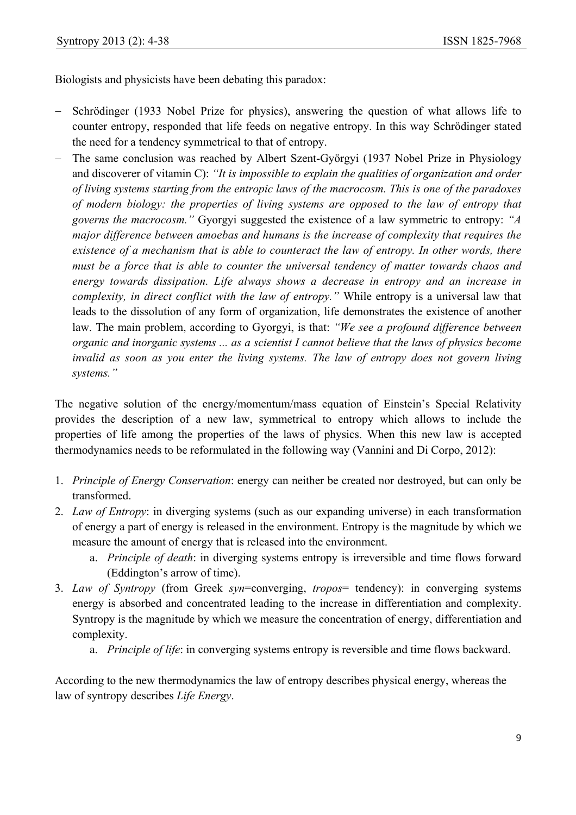Biologists and physicists have been debating this paradox:

- Schrödinger (1933 Nobel Prize for physics), answering the question of what allows life to counter entropy, responded that life feeds on negative entropy. In this way Schrödinger stated the need for a tendency symmetrical to that of entropy.
- − The same conclusion was reached by Albert Szent-Györgyi (1937 Nobel Prize in Physiology and discoverer of vitamin C): *"It is impossible to explain the qualities of organization and order of living systems starting from the entropic laws of the macrocosm. This is one of the paradoxes of modern biology: the properties of living systems are opposed to the law of entropy that governs the macrocosm."* Gyorgyi suggested the existence of a law symmetric to entropy: *"A major difference between amoebas and humans is the increase of complexity that requires the existence of a mechanism that is able to counteract the law of entropy. In other words, there must be a force that is able to counter the universal tendency of matter towards chaos and energy towards dissipation. Life always shows a decrease in entropy and an increase in complexity, in direct conflict with the law of entropy."* While entropy is a universal law that leads to the dissolution of any form of organization, life demonstrates the existence of another law. The main problem, according to Gyorgyi, is that: *"We see a profound difference between organic and inorganic systems ... as a scientist I cannot believe that the laws of physics become invalid as soon as you enter the living systems. The law of entropy does not govern living systems."*

The negative solution of the energy/momentum/mass equation of Einstein's Special Relativity provides the description of a new law, symmetrical to entropy which allows to include the properties of life among the properties of the laws of physics. When this new law is accepted thermodynamics needs to be reformulated in the following way (Vannini and Di Corpo, 2012):

- 1. *Principle of Energy Conservation*: energy can neither be created nor destroyed, but can only be transformed.
- 2. *Law of Entropy*: in diverging systems (such as our expanding universe) in each transformation of energy a part of energy is released in the environment. Entropy is the magnitude by which we measure the amount of energy that is released into the environment.
	- a. *Principle of death*: in diverging systems entropy is irreversible and time flows forward (Eddington's arrow of time).
- 3. *Law of Syntropy* (from Greek *syn*=converging, *tropos*= tendency): in converging systems energy is absorbed and concentrated leading to the increase in differentiation and complexity. Syntropy is the magnitude by which we measure the concentration of energy, differentiation and complexity.
	- a. *Principle of life*: in converging systems entropy is reversible and time flows backward.

According to the new thermodynamics the law of entropy describes physical energy, whereas the law of syntropy describes *Life Energy*.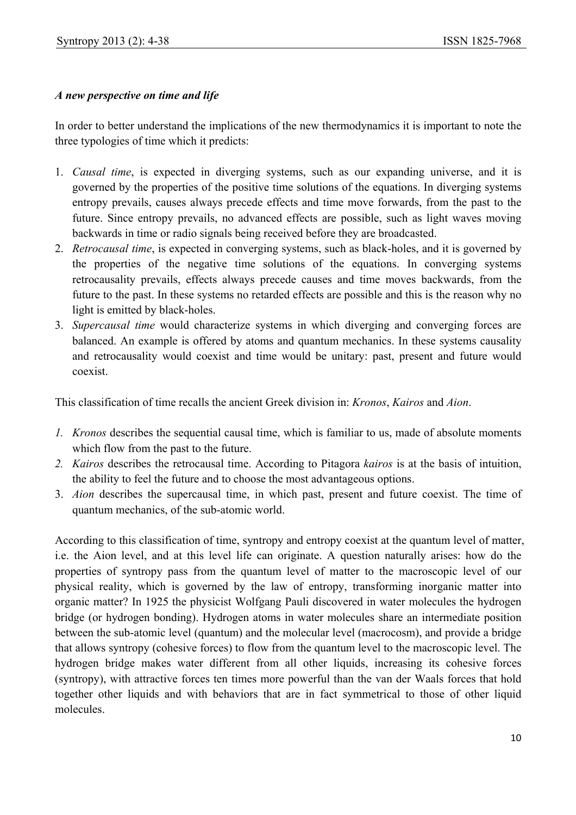## *A new perspective on time and life*

In order to better understand the implications of the new thermodynamics it is important to note the three typologies of time which it predicts:

- 1. *Causal time*, is expected in diverging systems, such as our expanding universe, and it is governed by the properties of the positive time solutions of the equations. In diverging systems entropy prevails, causes always precede effects and time move forwards, from the past to the future. Since entropy prevails, no advanced effects are possible, such as light waves moving backwards in time or radio signals being received before they are broadcasted.
- 2. *Retrocausal time*, is expected in converging systems, such as black-holes, and it is governed by the properties of the negative time solutions of the equations. In converging systems retrocausality prevails, effects always precede causes and time moves backwards, from the future to the past. In these systems no retarded effects are possible and this is the reason why no light is emitted by black-holes.
- 3. *Supercausal time* would characterize systems in which diverging and converging forces are balanced. An example is offered by atoms and quantum mechanics. In these systems causality and retrocausality would coexist and time would be unitary: past, present and future would coexist.

This classification of time recalls the ancient Greek division in: *Kronos*, *Kairos* and *Aion*.

- *1. Kronos* describes the sequential causal time, which is familiar to us, made of absolute moments which flow from the past to the future.
- *2. Kairos* describes the retrocausal time. According to Pitagora *kairos* is at the basis of intuition, the ability to feel the future and to choose the most advantageous options.
- 3. *Aion* describes the supercausal time, in which past, present and future coexist. The time of quantum mechanics, of the sub-atomic world.

According to this classification of time, syntropy and entropy coexist at the quantum level of matter, i.e. the Aion level, and at this level life can originate. A question naturally arises: how do the properties of syntropy pass from the quantum level of matter to the macroscopic level of our physical reality, which is governed by the law of entropy, transforming inorganic matter into organic matter? In 1925 the physicist Wolfgang Pauli discovered in water molecules the hydrogen bridge (or hydrogen bonding). Hydrogen atoms in water molecules share an intermediate position between the sub-atomic level (quantum) and the molecular level (macrocosm), and provide a bridge that allows syntropy (cohesive forces) to flow from the quantum level to the macroscopic level. The hydrogen bridge makes water different from all other liquids, increasing its cohesive forces (syntropy), with attractive forces ten times more powerful than the van der Waals forces that hold together other liquids and with behaviors that are in fact symmetrical to those of other liquid molecules.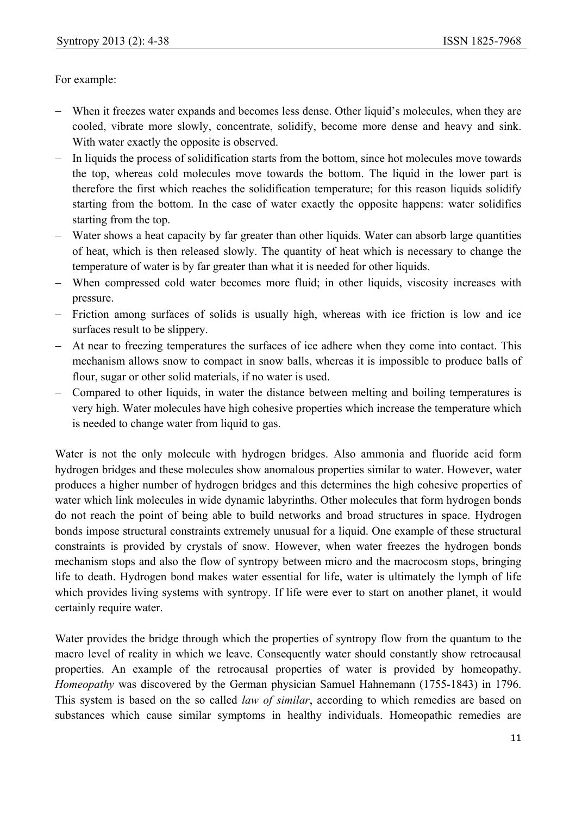For example:

- − When it freezes water expands and becomes less dense. Other liquid's molecules, when they are cooled, vibrate more slowly, concentrate, solidify, become more dense and heavy and sink. With water exactly the opposite is observed.
- − In liquids the process of solidification starts from the bottom, since hot molecules move towards the top, whereas cold molecules move towards the bottom. The liquid in the lower part is therefore the first which reaches the solidification temperature; for this reason liquids solidify starting from the bottom. In the case of water exactly the opposite happens: water solidifies starting from the top.
- − Water shows a heat capacity by far greater than other liquids. Water can absorb large quantities of heat, which is then released slowly. The quantity of heat which is necessary to change the temperature of water is by far greater than what it is needed for other liquids.
- − When compressed cold water becomes more fluid; in other liquids, viscosity increases with pressure.
- − Friction among surfaces of solids is usually high, whereas with ice friction is low and ice surfaces result to be slippery.
- − At near to freezing temperatures the surfaces of ice adhere when they come into contact. This mechanism allows snow to compact in snow balls, whereas it is impossible to produce balls of flour, sugar or other solid materials, if no water is used.
- − Compared to other liquids, in water the distance between melting and boiling temperatures is very high. Water molecules have high cohesive properties which increase the temperature which is needed to change water from liquid to gas.

Water is not the only molecule with hydrogen bridges. Also ammonia and fluoride acid form hydrogen bridges and these molecules show anomalous properties similar to water. However, water produces a higher number of hydrogen bridges and this determines the high cohesive properties of water which link molecules in wide dynamic labyrinths. Other molecules that form hydrogen bonds do not reach the point of being able to build networks and broad structures in space. Hydrogen bonds impose structural constraints extremely unusual for a liquid. One example of these structural constraints is provided by crystals of snow. However, when water freezes the hydrogen bonds mechanism stops and also the flow of syntropy between micro and the macrocosm stops, bringing life to death. Hydrogen bond makes water essential for life, water is ultimately the lymph of life which provides living systems with syntropy. If life were ever to start on another planet, it would certainly require water.

Water provides the bridge through which the properties of syntropy flow from the quantum to the macro level of reality in which we leave. Consequently water should constantly show retrocausal properties. An example of the retrocausal properties of water is provided by homeopathy. *Homeopathy* was discovered by the German physician Samuel Hahnemann (1755-1843) in 1796. This system is based on the so called *law of similar*, according to which remedies are based on substances which cause similar symptoms in healthy individuals. Homeopathic remedies are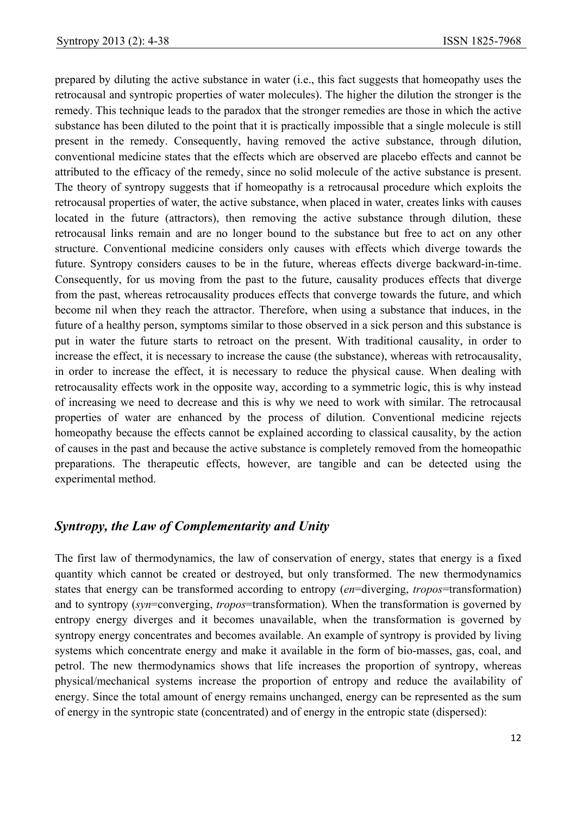prepared by diluting the active substance in water (i.e., this fact suggests that homeopathy uses the retrocausal and syntropic properties of water molecules). The higher the dilution the stronger is the remedy. This technique leads to the paradox that the stronger remedies are those in which the active substance has been diluted to the point that it is practically impossible that a single molecule is still present in the remedy. Consequently, having removed the active substance, through dilution, conventional medicine states that the effects which are observed are placebo effects and cannot be attributed to the efficacy of the remedy, since no solid molecule of the active substance is present. The theory of syntropy suggests that if homeopathy is a retrocausal procedure which exploits the retrocausal properties of water, the active substance, when placed in water, creates links with causes located in the future (attractors), then removing the active substance through dilution, these retrocausal links remain and are no longer bound to the substance but free to act on any other structure. Conventional medicine considers only causes with effects which diverge towards the future. Syntropy considers causes to be in the future, whereas effects diverge backward-in-time. Consequently, for us moving from the past to the future, causality produces effects that diverge from the past, whereas retrocausality produces effects that converge towards the future, and which become nil when they reach the attractor. Therefore, when using a substance that induces, in the future of a healthy person, symptoms similar to those observed in a sick person and this substance is put in water the future starts to retroact on the present. With traditional causality, in order to increase the effect, it is necessary to increase the cause (the substance), whereas with retrocausality, in order to increase the effect, it is necessary to reduce the physical cause. When dealing with retrocausality effects work in the opposite way, according to a symmetric logic, this is why instead of increasing we need to decrease and this is why we need to work with similar. The retrocausal properties of water are enhanced by the process of dilution. Conventional medicine rejects homeopathy because the effects cannot be explained according to classical causality, by the action of causes in the past and because the active substance is completely removed from the homeopathic preparations. The therapeutic effects, however, are tangible and can be detected using the experimental method.

## *Syntropy, the Law of Complementarity and Unity*

The first law of thermodynamics, the law of conservation of energy, states that energy is a fixed quantity which cannot be created or destroyed, but only transformed. The new thermodynamics states that energy can be transformed according to entropy (*en*=diverging, *tropos*=transformation) and to syntropy (*syn*=converging, *tropos*=transformation). When the transformation is governed by entropy energy diverges and it becomes unavailable, when the transformation is governed by syntropy energy concentrates and becomes available. An example of syntropy is provided by living systems which concentrate energy and make it available in the form of bio-masses, gas, coal, and petrol. The new thermodynamics shows that life increases the proportion of syntropy, whereas physical/mechanical systems increase the proportion of entropy and reduce the availability of energy. Since the total amount of energy remains unchanged, energy can be represented as the sum of energy in the syntropic state (concentrated) and of energy in the entropic state (dispersed):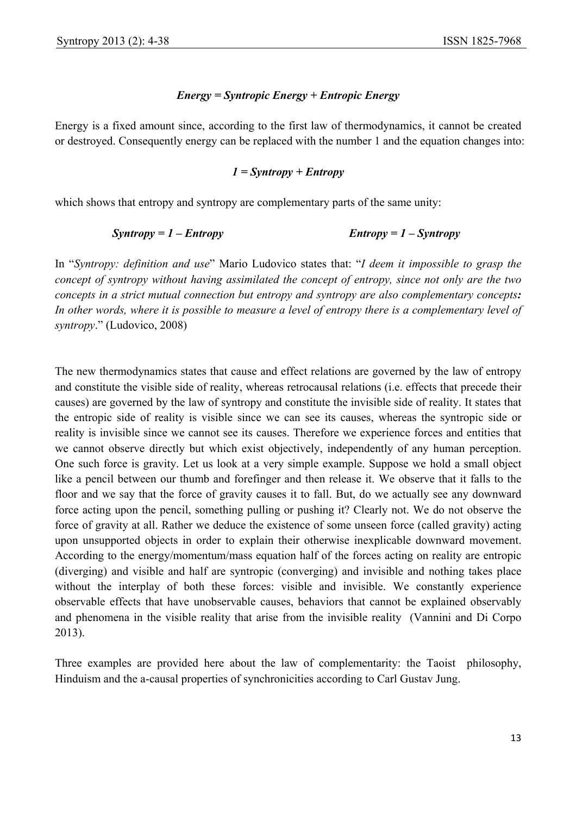## *Energy = Syntropic Energy + Entropic Energy*

Energy is a fixed amount since, according to the first law of thermodynamics, it cannot be created or destroyed. Consequently energy can be replaced with the number 1 and the equation changes into:

#### *1 = Syntropy + Entropy*

which shows that entropy and syntropy are complementary parts of the same unity:

$$
Syntropy = 1 - Entropy
$$
  $Entropy = 1 - Syntropy$ 

In "*Syntropy: definition and use*" Mario Ludovico states that: "*I deem it impossible to grasp the concept of syntropy without having assimilated the concept of entropy, since not only are the two concepts in a strict mutual connection but entropy and syntropy are also complementary concepts: In other words, where it is possible to measure a level of entropy there is a complementary level of syntropy*." (Ludovico, 2008)

The new thermodynamics states that cause and effect relations are governed by the law of entropy and constitute the visible side of reality, whereas retrocausal relations (i.e. effects that precede their causes) are governed by the law of syntropy and constitute the invisible side of reality. It states that the entropic side of reality is visible since we can see its causes, whereas the syntropic side or reality is invisible since we cannot see its causes. Therefore we experience forces and entities that we cannot observe directly but which exist objectively, independently of any human perception. One such force is gravity. Let us look at a very simple example. Suppose we hold a small object like a pencil between our thumb and forefinger and then release it. We observe that it falls to the floor and we say that the force of gravity causes it to fall. But, do we actually see any downward force acting upon the pencil, something pulling or pushing it? Clearly not. We do not observe the force of gravity at all. Rather we deduce the existence of some unseen force (called gravity) acting upon unsupported objects in order to explain their otherwise inexplicable downward movement. According to the energy/momentum/mass equation half of the forces acting on reality are entropic (diverging) and visible and half are syntropic (converging) and invisible and nothing takes place without the interplay of both these forces: visible and invisible. We constantly experience observable effects that have unobservable causes, behaviors that cannot be explained observably and phenomena in the visible reality that arise from the invisible reality (Vannini and Di Corpo 2013).

Three examples are provided here about the law of complementarity: the Taoist philosophy, Hinduism and the a-causal properties of synchronicities according to Carl Gustav Jung.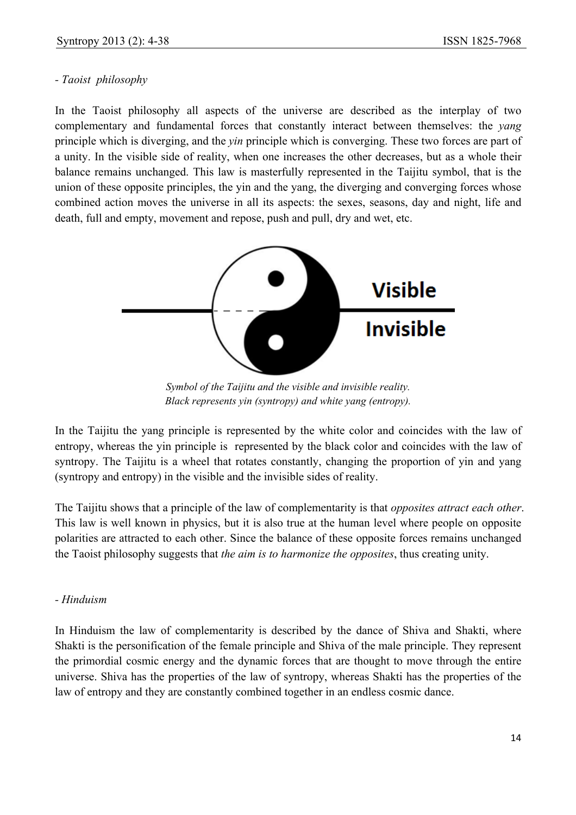## *- Taoist philosophy*

In the Taoist philosophy all aspects of the universe are described as the interplay of two complementary and fundamental forces that constantly interact between themselves: the *yang* principle which is diverging, and the *yin* principle which is converging. These two forces are part of a unity. In the visible side of reality, when one increases the other decreases, but as a whole their balance remains unchanged. This law is masterfully represented in the Taijitu symbol, that is the union of these opposite principles, the yin and the yang, the diverging and converging forces whose combined action moves the universe in all its aspects: the sexes, seasons, day and night, life and death, full and empty, movement and repose, push and pull, dry and wet, etc.



*Symbol of the Taijitu and the visible and invisible reality. Black represents yin (syntropy) and white yang (entropy).* 

In the Taijitu the yang principle is represented by the white color and coincides with the law of entropy, whereas the yin principle is represented by the black color and coincides with the law of syntropy. The Taijitu is a wheel that rotates constantly, changing the proportion of yin and yang (syntropy and entropy) in the visible and the invisible sides of reality.

The Taijitu shows that a principle of the law of complementarity is that *opposites attract each other*. This law is well known in physics, but it is also true at the human level where people on opposite polarities are attracted to each other. Since the balance of these opposite forces remains unchanged the Taoist philosophy suggests that *the aim is to harmonize the opposites*, thus creating unity.

## *- Hinduism*

In Hinduism the law of complementarity is described by the dance of Shiva and Shakti, where Shakti is the personification of the female principle and Shiva of the male principle. They represent the primordial cosmic energy and the dynamic forces that are thought to move through the entire universe. Shiva has the properties of the law of syntropy, whereas Shakti has the properties of the law of entropy and they are constantly combined together in an endless cosmic dance.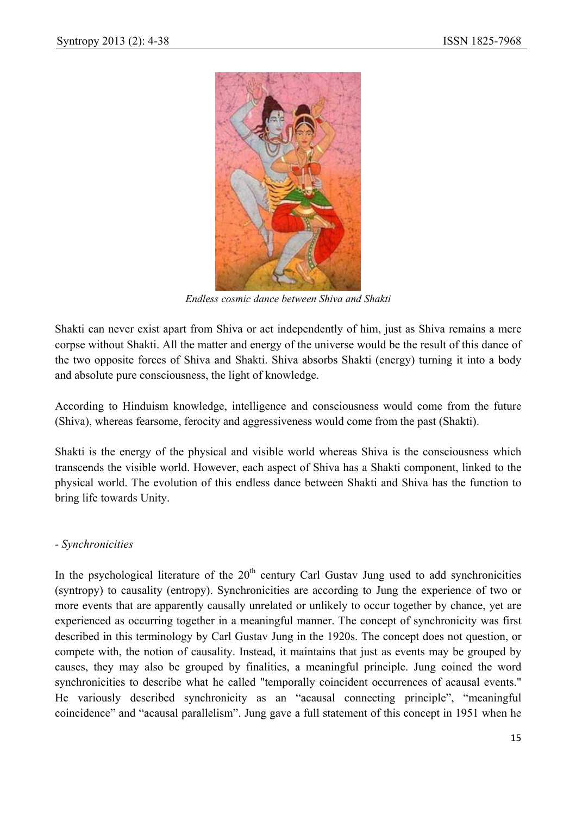

*Endless cosmic dance between Shiva and Shakti* 

Shakti can never exist apart from Shiva or act independently of him, just as Shiva remains a mere corpse without Shakti. All the matter and energy of the universe would be the result of this dance of the two opposite forces of Shiva and Shakti. Shiva absorbs Shakti (energy) turning it into a body and absolute pure consciousness, the light of knowledge.

According to Hinduism knowledge, intelligence and consciousness would come from the future (Shiva), whereas fearsome, ferocity and aggressiveness would come from the past (Shakti).

Shakti is the energy of the physical and visible world whereas Shiva is the consciousness which transcends the visible world. However, each aspect of Shiva has a Shakti component, linked to the physical world. The evolution of this endless dance between Shakti and Shiva has the function to bring life towards Unity.

#### *- Synchronicities*

In the psychological literature of the  $20<sup>th</sup>$  century Carl Gustav Jung used to add synchronicities (syntropy) to causality (entropy). Synchronicities are according to Jung the experience of two or more events that are apparently causally unrelated or unlikely to occur together by chance, yet are experienced as occurring together in a meaningful manner. The concept of synchronicity was first described in this terminology by Carl Gustav Jung in the 1920s. The concept does not question, or compete with, the notion of causality. Instead, it maintains that just as events may be grouped by causes, they may also be grouped by finalities, a meaningful principle. Jung coined the word synchronicities to describe what he called "temporally coincident occurrences of acausal events." He variously described synchronicity as an "acausal connecting principle", "meaningful coincidence" and "acausal parallelism". Jung gave a full statement of this concept in 1951 when he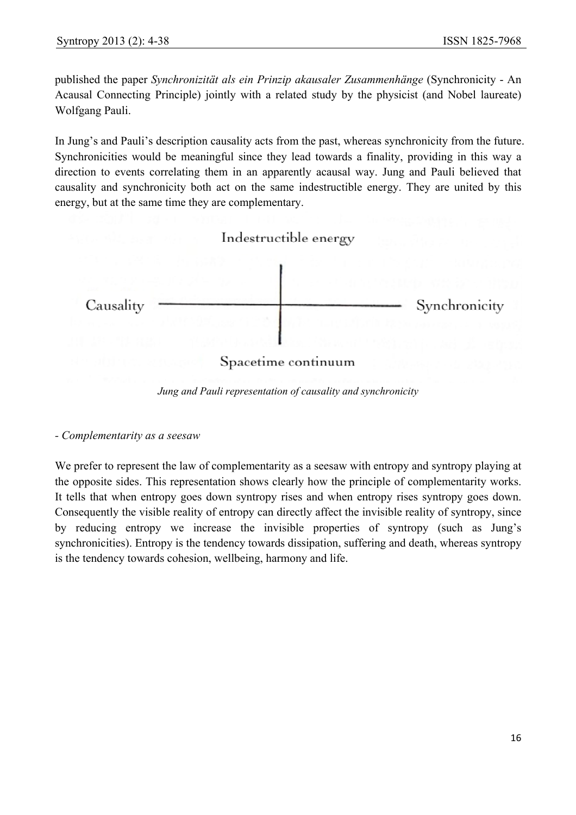published the paper *Synchronizität als ein Prinzip akausaler Zusammenhänge* (Synchronicity - An Acausal Connecting Principle) jointly with a related study by the physicist (and Nobel laureate) Wolfgang Pauli.

In Jung's and Pauli's description causality acts from the past, whereas synchronicity from the future. Synchronicities would be meaningful since they lead towards a finality, providing in this way a direction to events correlating them in an apparently acausal way. Jung and Pauli believed that causality and synchronicity both act on the same indestructible energy. They are united by this energy, but at the same time they are complementary.



*Jung and Pauli representation of causality and synchronicity* 

*- Complementarity as a seesaw* 

We prefer to represent the law of complementarity as a seesaw with entropy and syntropy playing at the opposite sides. This representation shows clearly how the principle of complementarity works. It tells that when entropy goes down syntropy rises and when entropy rises syntropy goes down. Consequently the visible reality of entropy can directly affect the invisible reality of syntropy, since by reducing entropy we increase the invisible properties of syntropy (such as Jung's synchronicities). Entropy is the tendency towards dissipation, suffering and death, whereas syntropy is the tendency towards cohesion, wellbeing, harmony and life.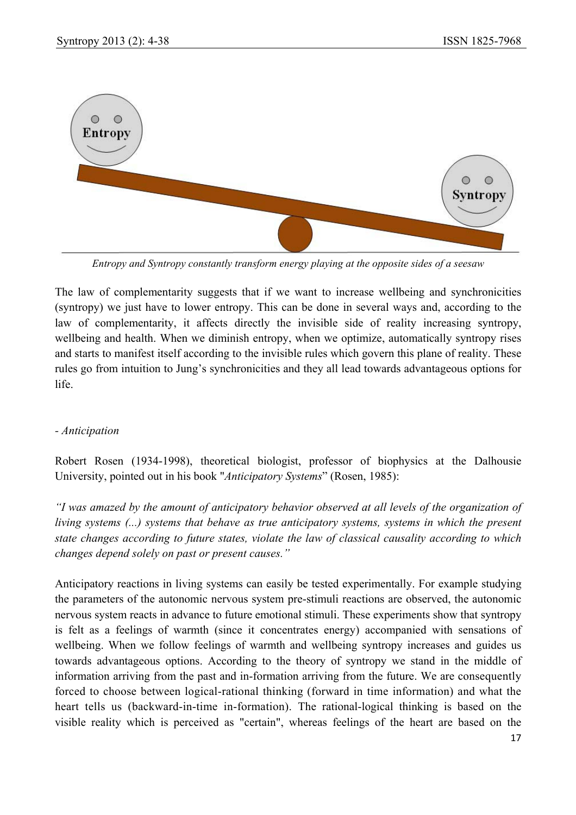

*Entropy and Syntropy constantly transform energy playing at the opposite sides of a seesaw* 

The law of complementarity suggests that if we want to increase wellbeing and synchronicities (syntropy) we just have to lower entropy. This can be done in several ways and, according to the law of complementarity, it affects directly the invisible side of reality increasing syntropy, wellbeing and health. When we diminish entropy, when we optimize, automatically syntropy rises and starts to manifest itself according to the invisible rules which govern this plane of reality. These rules go from intuition to Jung's synchronicities and they all lead towards advantageous options for life.

#### *- Anticipation*

Robert Rosen (1934-1998), theoretical biologist, professor of biophysics at the Dalhousie University, pointed out in his book "*Anticipatory Systems*" (Rosen, 1985):

*"I was amazed by the amount of anticipatory behavior observed at all levels of the organization of living systems (...) systems that behave as true anticipatory systems, systems in which the present state changes according to future states, violate the law of classical causality according to which changes depend solely on past or present causes."* 

Anticipatory reactions in living systems can easily be tested experimentally. For example studying the parameters of the autonomic nervous system pre-stimuli reactions are observed, the autonomic nervous system reacts in advance to future emotional stimuli. These experiments show that syntropy is felt as a feelings of warmth (since it concentrates energy) accompanied with sensations of wellbeing. When we follow feelings of warmth and wellbeing syntropy increases and guides us towards advantageous options. According to the theory of syntropy we stand in the middle of information arriving from the past and in-formation arriving from the future. We are consequently forced to choose between logical-rational thinking (forward in time information) and what the heart tells us (backward-in-time in-formation). The rational-logical thinking is based on the visible reality which is perceived as "certain", whereas feelings of the heart are based on the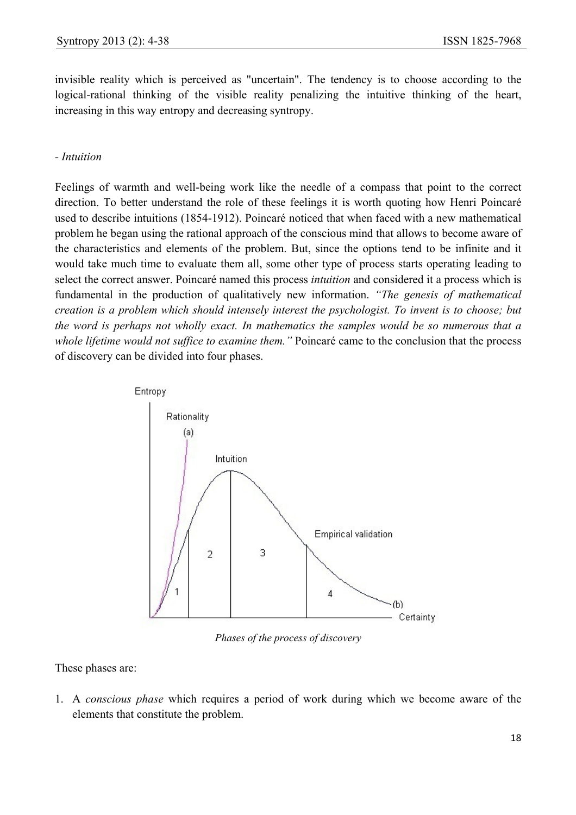invisible reality which is perceived as "uncertain". The tendency is to choose according to the logical-rational thinking of the visible reality penalizing the intuitive thinking of the heart, increasing in this way entropy and decreasing syntropy.

#### *- Intuition*

Feelings of warmth and well-being work like the needle of a compass that point to the correct direction. To better understand the role of these feelings it is worth quoting how Henri Poincaré used to describe intuitions (1854-1912). Poincaré noticed that when faced with a new mathematical problem he began using the rational approach of the conscious mind that allows to become aware of the characteristics and elements of the problem. But, since the options tend to be infinite and it would take much time to evaluate them all, some other type of process starts operating leading to select the correct answer. Poincaré named this process *intuition* and considered it a process which is fundamental in the production of qualitatively new information. *"The genesis of mathematical creation is a problem which should intensely interest the psychologist. To invent is to choose; but the word is perhaps not wholly exact. In mathematics the samples would be so numerous that a whole lifetime would not suffice to examine them."* Poincaré came to the conclusion that the process of discovery can be divided into four phases.



*Phases of the process of discovery* 

These phases are:

1. A *conscious phase* which requires a period of work during which we become aware of the elements that constitute the problem.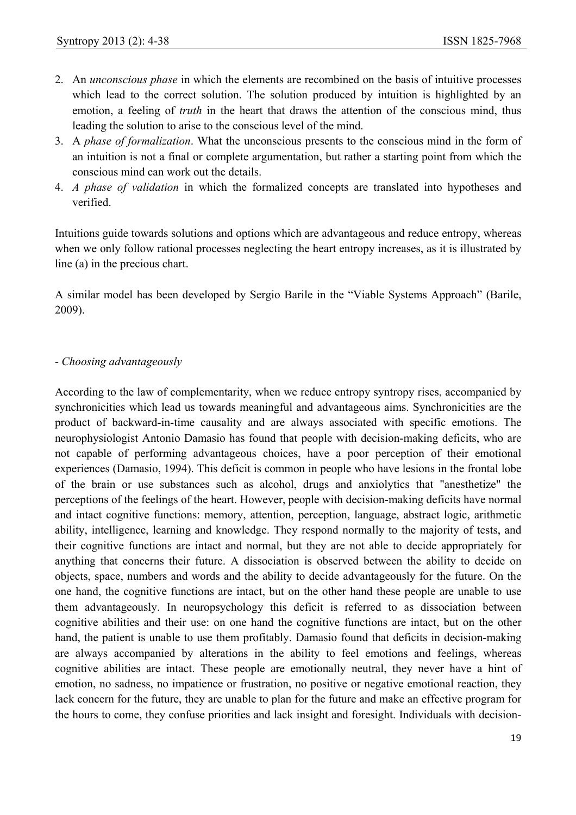- 2. An *unconscious phase* in which the elements are recombined on the basis of intuitive processes which lead to the correct solution. The solution produced by intuition is highlighted by an emotion, a feeling of *truth* in the heart that draws the attention of the conscious mind, thus leading the solution to arise to the conscious level of the mind.
- 3. A *phase of formalization*. What the unconscious presents to the conscious mind in the form of an intuition is not a final or complete argumentation, but rather a starting point from which the conscious mind can work out the details.
- 4. *A phase of validation* in which the formalized concepts are translated into hypotheses and verified.

Intuitions guide towards solutions and options which are advantageous and reduce entropy, whereas when we only follow rational processes neglecting the heart entropy increases, as it is illustrated by line (a) in the precious chart.

A similar model has been developed by Sergio Barile in the "Viable Systems Approach" (Barile, 2009).

#### *- Choosing advantageously*

According to the law of complementarity, when we reduce entropy syntropy rises, accompanied by synchronicities which lead us towards meaningful and advantageous aims. Synchronicities are the product of backward-in-time causality and are always associated with specific emotions. The neurophysiologist Antonio Damasio has found that people with decision-making deficits, who are not capable of performing advantageous choices, have a poor perception of their emotional experiences (Damasio, 1994). This deficit is common in people who have lesions in the frontal lobe of the brain or use substances such as alcohol, drugs and anxiolytics that "anesthetize" the perceptions of the feelings of the heart. However, people with decision-making deficits have normal and intact cognitive functions: memory, attention, perception, language, abstract logic, arithmetic ability, intelligence, learning and knowledge. They respond normally to the majority of tests, and their cognitive functions are intact and normal, but they are not able to decide appropriately for anything that concerns their future. A dissociation is observed between the ability to decide on objects, space, numbers and words and the ability to decide advantageously for the future. On the one hand, the cognitive functions are intact, but on the other hand these people are unable to use them advantageously. In neuropsychology this deficit is referred to as dissociation between cognitive abilities and their use: on one hand the cognitive functions are intact, but on the other hand, the patient is unable to use them profitably. Damasio found that deficits in decision-making are always accompanied by alterations in the ability to feel emotions and feelings, whereas cognitive abilities are intact. These people are emotionally neutral, they never have a hint of emotion, no sadness, no impatience or frustration, no positive or negative emotional reaction, they lack concern for the future, they are unable to plan for the future and make an effective program for the hours to come, they confuse priorities and lack insight and foresight. Individuals with decision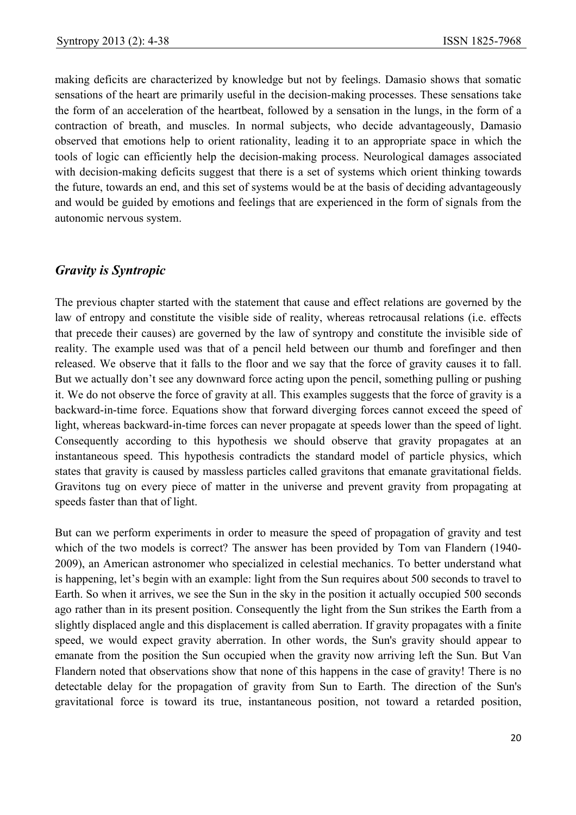making deficits are characterized by knowledge but not by feelings. Damasio shows that somatic sensations of the heart are primarily useful in the decision-making processes. These sensations take the form of an acceleration of the heartbeat, followed by a sensation in the lungs, in the form of a contraction of breath, and muscles. In normal subjects, who decide advantageously, Damasio observed that emotions help to orient rationality, leading it to an appropriate space in which the tools of logic can efficiently help the decision-making process. Neurological damages associated with decision-making deficits suggest that there is a set of systems which orient thinking towards the future, towards an end, and this set of systems would be at the basis of deciding advantageously and would be guided by emotions and feelings that are experienced in the form of signals from the autonomic nervous system.

## *Gravity is Syntropic*

The previous chapter started with the statement that cause and effect relations are governed by the law of entropy and constitute the visible side of reality, whereas retrocausal relations (i.e. effects that precede their causes) are governed by the law of syntropy and constitute the invisible side of reality. The example used was that of a pencil held between our thumb and forefinger and then released. We observe that it falls to the floor and we say that the force of gravity causes it to fall. But we actually don't see any downward force acting upon the pencil, something pulling or pushing it. We do not observe the force of gravity at all. This examples suggests that the force of gravity is a backward-in-time force. Equations show that forward diverging forces cannot exceed the speed of light, whereas backward-in-time forces can never propagate at speeds lower than the speed of light. Consequently according to this hypothesis we should observe that gravity propagates at an instantaneous speed. This hypothesis contradicts the standard model of particle physics, which states that gravity is caused by massless particles called gravitons that emanate gravitational fields. Gravitons tug on every piece of matter in the universe and prevent gravity from propagating at speeds faster than that of light.

But can we perform experiments in order to measure the speed of propagation of gravity and test which of the two models is correct? The answer has been provided by Tom van Flandern (1940- 2009), an American astronomer who specialized in celestial mechanics. To better understand what is happening, let's begin with an example: light from the Sun requires about 500 seconds to travel to Earth. So when it arrives, we see the Sun in the sky in the position it actually occupied 500 seconds ago rather than in its present position. Consequently the light from the Sun strikes the Earth from a slightly displaced angle and this displacement is called aberration. If gravity propagates with a finite speed, we would expect gravity aberration. In other words, the Sun's gravity should appear to emanate from the position the Sun occupied when the gravity now arriving left the Sun. But Van Flandern noted that observations show that none of this happens in the case of gravity! There is no detectable delay for the propagation of gravity from Sun to Earth. The direction of the Sun's gravitational force is toward its true, instantaneous position, not toward a retarded position,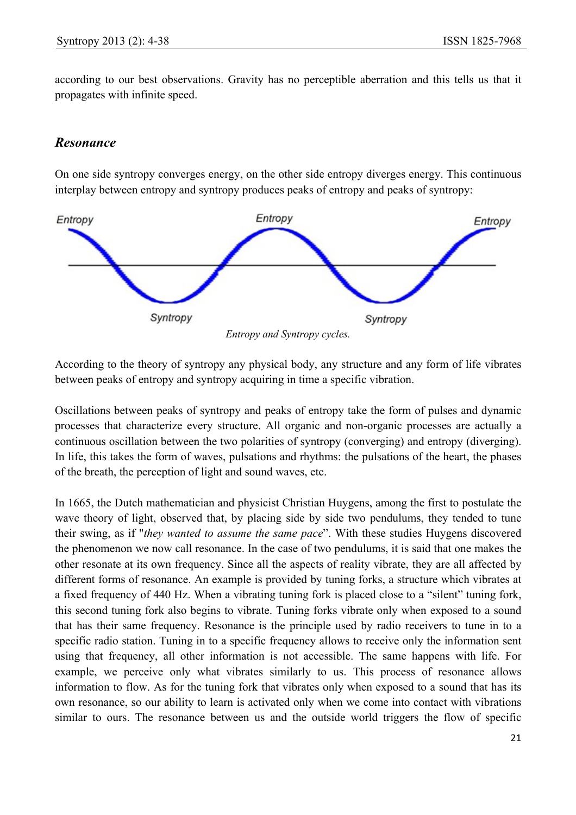according to our best observations. Gravity has no perceptible aberration and this tells us that it propagates with infinite speed.

## *Resonance*

On one side syntropy converges energy, on the other side entropy diverges energy. This continuous interplay between entropy and syntropy produces peaks of entropy and peaks of syntropy:



According to the theory of syntropy any physical body, any structure and any form of life vibrates between peaks of entropy and syntropy acquiring in time a specific vibration.

Oscillations between peaks of syntropy and peaks of entropy take the form of pulses and dynamic processes that characterize every structure. All organic and non-organic processes are actually a continuous oscillation between the two polarities of syntropy (converging) and entropy (diverging). In life, this takes the form of waves, pulsations and rhythms: the pulsations of the heart, the phases of the breath, the perception of light and sound waves, etc.

In 1665, the Dutch mathematician and physicist Christian Huygens, among the first to postulate the wave theory of light, observed that, by placing side by side two pendulums, they tended to tune their swing, as if "*they wanted to assume the same pace*". With these studies Huygens discovered the phenomenon we now call resonance. In the case of two pendulums, it is said that one makes the other resonate at its own frequency. Since all the aspects of reality vibrate, they are all affected by different forms of resonance. An example is provided by tuning forks, a structure which vibrates at a fixed frequency of 440 Hz. When a vibrating tuning fork is placed close to a "silent" tuning fork, this second tuning fork also begins to vibrate. Tuning forks vibrate only when exposed to a sound that has their same frequency. Resonance is the principle used by radio receivers to tune in to a specific radio station. Tuning in to a specific frequency allows to receive only the information sent using that frequency, all other information is not accessible. The same happens with life. For example, we perceive only what vibrates similarly to us. This process of resonance allows information to flow. As for the tuning fork that vibrates only when exposed to a sound that has its own resonance, so our ability to learn is activated only when we come into contact with vibrations similar to ours. The resonance between us and the outside world triggers the flow of specific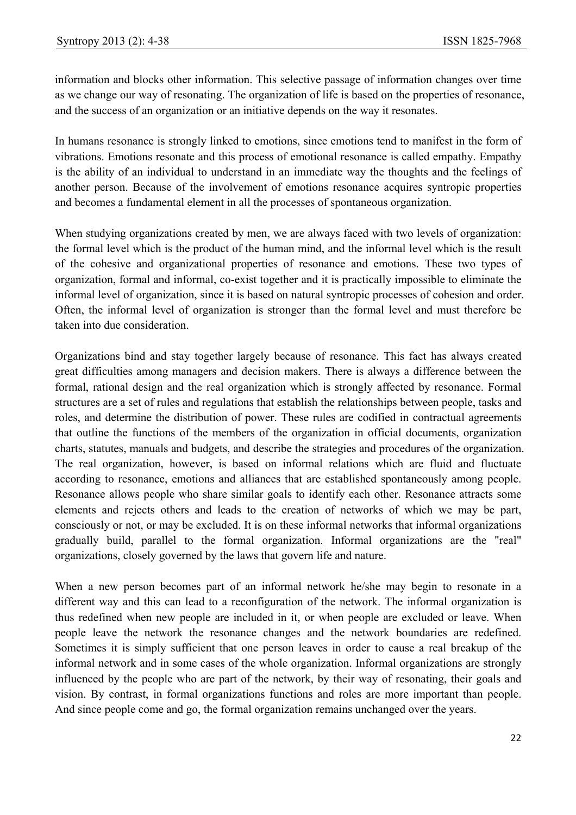information and blocks other information. This selective passage of information changes over time as we change our way of resonating. The organization of life is based on the properties of resonance, and the success of an organization or an initiative depends on the way it resonates.

In humans resonance is strongly linked to emotions, since emotions tend to manifest in the form of vibrations. Emotions resonate and this process of emotional resonance is called empathy. Empathy is the ability of an individual to understand in an immediate way the thoughts and the feelings of another person. Because of the involvement of emotions resonance acquires syntropic properties and becomes a fundamental element in all the processes of spontaneous organization.

When studying organizations created by men, we are always faced with two levels of organization: the formal level which is the product of the human mind, and the informal level which is the result of the cohesive and organizational properties of resonance and emotions. These two types of organization, formal and informal, co-exist together and it is practically impossible to eliminate the informal level of organization, since it is based on natural syntropic processes of cohesion and order. Often, the informal level of organization is stronger than the formal level and must therefore be taken into due consideration.

Organizations bind and stay together largely because of resonance. This fact has always created great difficulties among managers and decision makers. There is always a difference between the formal, rational design and the real organization which is strongly affected by resonance. Formal structures are a set of rules and regulations that establish the relationships between people, tasks and roles, and determine the distribution of power. These rules are codified in contractual agreements that outline the functions of the members of the organization in official documents, organization charts, statutes, manuals and budgets, and describe the strategies and procedures of the organization. The real organization, however, is based on informal relations which are fluid and fluctuate according to resonance, emotions and alliances that are established spontaneously among people. Resonance allows people who share similar goals to identify each other. Resonance attracts some elements and rejects others and leads to the creation of networks of which we may be part, consciously or not, or may be excluded. It is on these informal networks that informal organizations gradually build, parallel to the formal organization. Informal organizations are the "real" organizations, closely governed by the laws that govern life and nature.

When a new person becomes part of an informal network he/she may begin to resonate in a different way and this can lead to a reconfiguration of the network. The informal organization is thus redefined when new people are included in it, or when people are excluded or leave. When people leave the network the resonance changes and the network boundaries are redefined. Sometimes it is simply sufficient that one person leaves in order to cause a real breakup of the informal network and in some cases of the whole organization. Informal organizations are strongly influenced by the people who are part of the network, by their way of resonating, their goals and vision. By contrast, in formal organizations functions and roles are more important than people. And since people come and go, the formal organization remains unchanged over the years.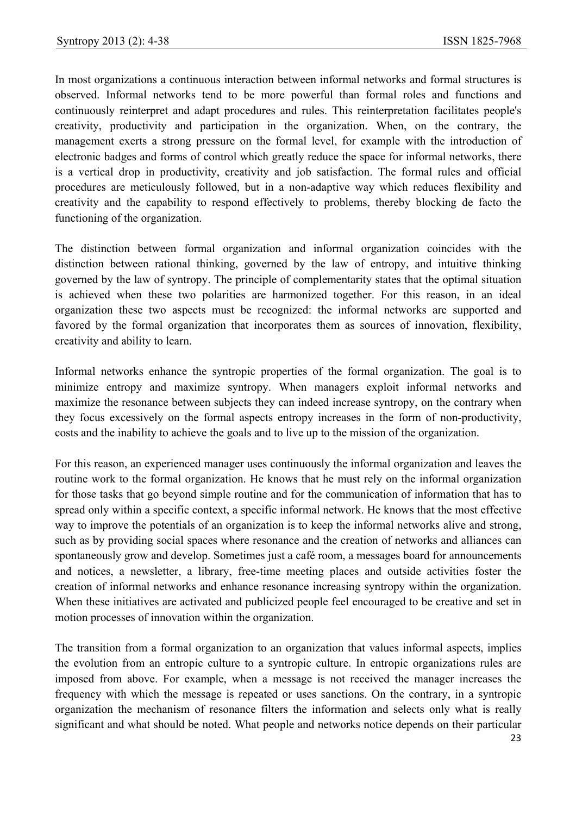In most organizations a continuous interaction between informal networks and formal structures is observed. Informal networks tend to be more powerful than formal roles and functions and continuously reinterpret and adapt procedures and rules. This reinterpretation facilitates people's creativity, productivity and participation in the organization. When, on the contrary, the management exerts a strong pressure on the formal level, for example with the introduction of electronic badges and forms of control which greatly reduce the space for informal networks, there is a vertical drop in productivity, creativity and job satisfaction. The formal rules and official procedures are meticulously followed, but in a non-adaptive way which reduces flexibility and creativity and the capability to respond effectively to problems, thereby blocking de facto the functioning of the organization.

The distinction between formal organization and informal organization coincides with the distinction between rational thinking, governed by the law of entropy, and intuitive thinking governed by the law of syntropy. The principle of complementarity states that the optimal situation is achieved when these two polarities are harmonized together. For this reason, in an ideal organization these two aspects must be recognized: the informal networks are supported and favored by the formal organization that incorporates them as sources of innovation, flexibility, creativity and ability to learn.

Informal networks enhance the syntropic properties of the formal organization. The goal is to minimize entropy and maximize syntropy. When managers exploit informal networks and maximize the resonance between subjects they can indeed increase syntropy, on the contrary when they focus excessively on the formal aspects entropy increases in the form of non-productivity, costs and the inability to achieve the goals and to live up to the mission of the organization.

For this reason, an experienced manager uses continuously the informal organization and leaves the routine work to the formal organization. He knows that he must rely on the informal organization for those tasks that go beyond simple routine and for the communication of information that has to spread only within a specific context, a specific informal network. He knows that the most effective way to improve the potentials of an organization is to keep the informal networks alive and strong, such as by providing social spaces where resonance and the creation of networks and alliances can spontaneously grow and develop. Sometimes just a café room, a messages board for announcements and notices, a newsletter, a library, free-time meeting places and outside activities foster the creation of informal networks and enhance resonance increasing syntropy within the organization. When these initiatives are activated and publicized people feel encouraged to be creative and set in motion processes of innovation within the organization.

The transition from a formal organization to an organization that values informal aspects, implies the evolution from an entropic culture to a syntropic culture. In entropic organizations rules are imposed from above. For example, when a message is not received the manager increases the frequency with which the message is repeated or uses sanctions. On the contrary, in a syntropic organization the mechanism of resonance filters the information and selects only what is really significant and what should be noted. What people and networks notice depends on their particular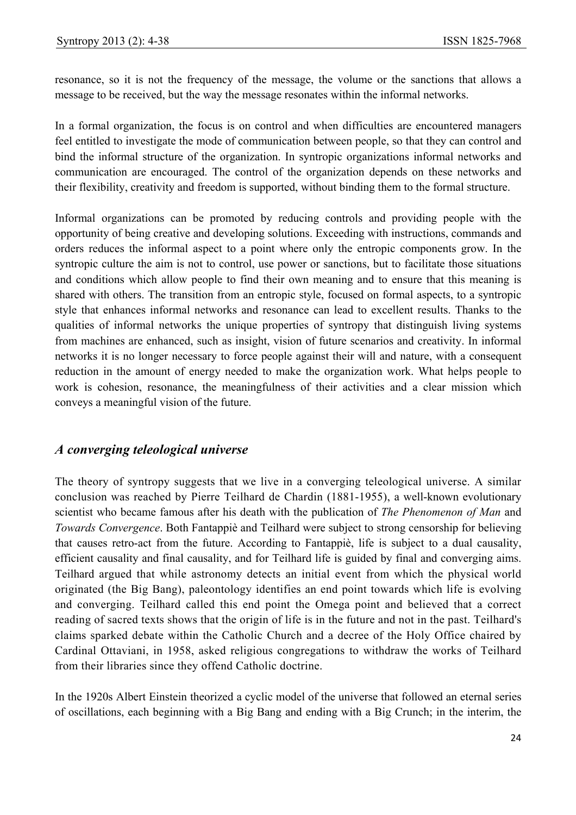resonance, so it is not the frequency of the message, the volume or the sanctions that allows a message to be received, but the way the message resonates within the informal networks.

In a formal organization, the focus is on control and when difficulties are encountered managers feel entitled to investigate the mode of communication between people, so that they can control and bind the informal structure of the organization. In syntropic organizations informal networks and communication are encouraged. The control of the organization depends on these networks and their flexibility, creativity and freedom is supported, without binding them to the formal structure.

Informal organizations can be promoted by reducing controls and providing people with the opportunity of being creative and developing solutions. Exceeding with instructions, commands and orders reduces the informal aspect to a point where only the entropic components grow. In the syntropic culture the aim is not to control, use power or sanctions, but to facilitate those situations and conditions which allow people to find their own meaning and to ensure that this meaning is shared with others. The transition from an entropic style, focused on formal aspects, to a syntropic style that enhances informal networks and resonance can lead to excellent results. Thanks to the qualities of informal networks the unique properties of syntropy that distinguish living systems from machines are enhanced, such as insight, vision of future scenarios and creativity. In informal networks it is no longer necessary to force people against their will and nature, with a consequent reduction in the amount of energy needed to make the organization work. What helps people to work is cohesion, resonance, the meaningfulness of their activities and a clear mission which conveys a meaningful vision of the future.

## *A converging teleological universe*

The theory of syntropy suggests that we live in a converging teleological universe. A similar conclusion was reached by Pierre Teilhard de Chardin (1881-1955), a well-known evolutionary scientist who became famous after his death with the publication of *The Phenomenon of Man* and *Towards Convergence*. Both Fantappiè and Teilhard were subject to strong censorship for believing that causes retro-act from the future. According to Fantappiè, life is subject to a dual causality, efficient causality and final causality, and for Teilhard life is guided by final and converging aims. Teilhard argued that while astronomy detects an initial event from which the physical world originated (the Big Bang), paleontology identifies an end point towards which life is evolving and converging. Teilhard called this end point the Omega point and believed that a correct reading of sacred texts shows that the origin of life is in the future and not in the past. Teilhard's claims sparked debate within the Catholic Church and a decree of the Holy Office chaired by Cardinal Ottaviani, in 1958, asked religious congregations to withdraw the works of Teilhard from their libraries since they offend Catholic doctrine.

In the 1920s Albert Einstein theorized a cyclic model of the universe that followed an eternal series of oscillations, each beginning with a Big Bang and ending with a Big Crunch; in the interim, the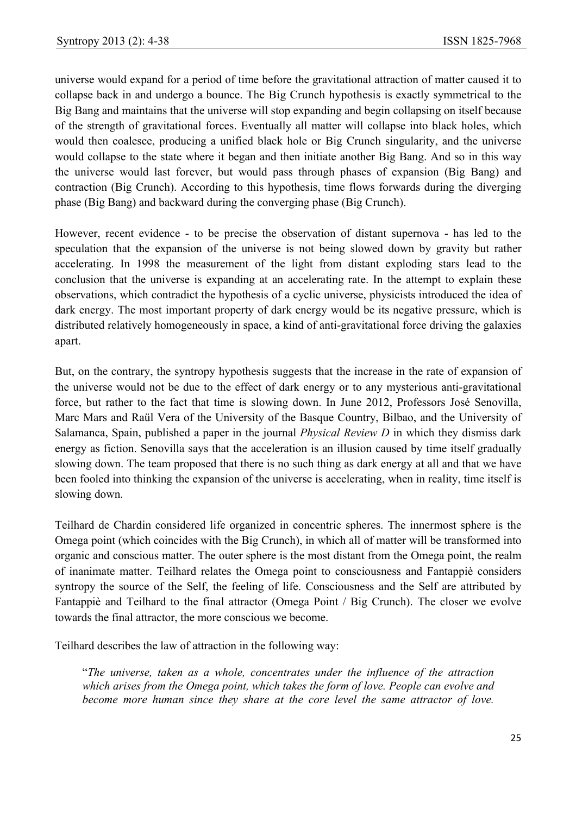universe would expand for a period of time before the gravitational attraction of matter caused it to collapse back in and undergo a bounce. The Big Crunch hypothesis is exactly symmetrical to the Big Bang and maintains that the universe will stop expanding and begin collapsing on itself because of the strength of gravitational forces. Eventually all matter will collapse into black holes, which would then coalesce, producing a unified black hole or Big Crunch singularity, and the universe would collapse to the state where it began and then initiate another Big Bang. And so in this way the universe would last forever, but would pass through phases of expansion (Big Bang) and contraction (Big Crunch). According to this hypothesis, time flows forwards during the diverging phase (Big Bang) and backward during the converging phase (Big Crunch).

However, recent evidence - to be precise the observation of distant supernova - has led to the speculation that the expansion of the universe is not being slowed down by gravity but rather accelerating. In 1998 the measurement of the light from distant exploding stars lead to the conclusion that the universe is expanding at an accelerating rate. In the attempt to explain these observations, which contradict the hypothesis of a cyclic universe, physicists introduced the idea of dark energy. The most important property of dark energy would be its negative pressure, which is distributed relatively homogeneously in space, a kind of anti-gravitational force driving the galaxies apart.

But, on the contrary, the syntropy hypothesis suggests that the increase in the rate of expansion of the universe would not be due to the effect of dark energy or to any mysterious anti-gravitational force, but rather to the fact that time is slowing down. In June 2012, Professors José Senovilla, Marc Mars and Raül Vera of the University of the Basque Country, Bilbao, and the University of Salamanca, Spain, published a paper in the journal *Physical Review D* in which they dismiss dark energy as fiction. Senovilla says that the acceleration is an illusion caused by time itself gradually slowing down. The team proposed that there is no such thing as dark energy at all and that we have been fooled into thinking the expansion of the universe is accelerating, when in reality, time itself is slowing down.

Teilhard de Chardin considered life organized in concentric spheres. The innermost sphere is the Omega point (which coincides with the Big Crunch), in which all of matter will be transformed into organic and conscious matter. The outer sphere is the most distant from the Omega point, the realm of inanimate matter. Teilhard relates the Omega point to consciousness and Fantappiè considers syntropy the source of the Self, the feeling of life. Consciousness and the Self are attributed by Fantappiè and Teilhard to the final attractor (Omega Point / Big Crunch). The closer we evolve towards the final attractor, the more conscious we become.

Teilhard describes the law of attraction in the following way:

"*The universe, taken as a whole, concentrates under the influence of the attraction which arises from the Omega point, which takes the form of love. People can evolve and become more human since they share at the core level the same attractor of love.*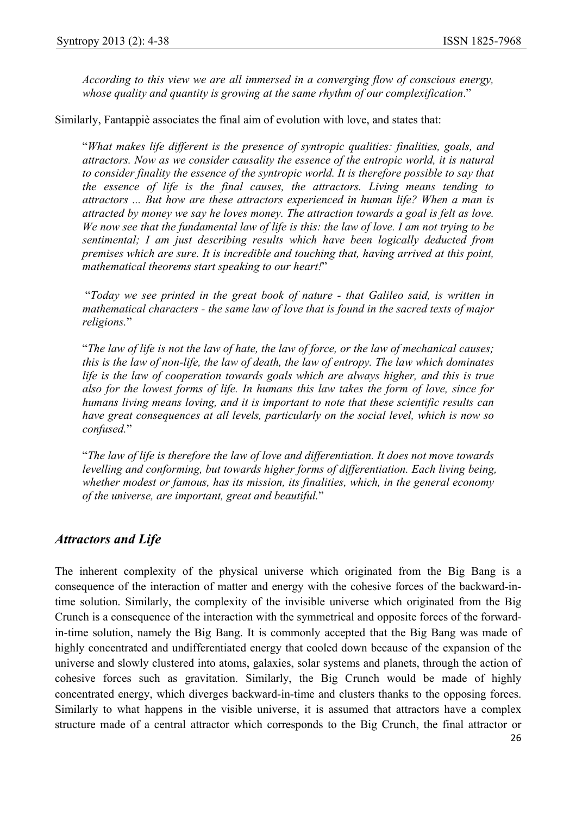*According to this view we are all immersed in a converging flow of conscious energy, whose quality and quantity is growing at the same rhythm of our complexification*."

Similarly, Fantappiè associates the final aim of evolution with love, and states that:

"*What makes life different is the presence of syntropic qualities: finalities, goals, and attractors. Now as we consider causality the essence of the entropic world, it is natural*  to consider finality the essence of the syntropic world. It is therefore possible to say that *the essence of life is the final causes, the attractors. Living means tending to attractors ... But how are these attractors experienced in human life? When a man is attracted by money we say he loves money. The attraction towards a goal is felt as love. We now see that the fundamental law of life is this: the law of love. I am not trying to be sentimental; I am just describing results which have been logically deducted from premises which are sure. It is incredible and touching that, having arrived at this point, mathematical theorems start speaking to our heart!*"

 "*Today we see printed in the great book of nature - that Galileo said, is written in mathematical characters - the same law of love that is found in the sacred texts of major religions.*"

"*The law of life is not the law of hate, the law of force, or the law of mechanical causes; this is the law of non-life, the law of death, the law of entropy. The law which dominates life is the law of cooperation towards goals which are always higher, and this is true also for the lowest forms of life. In humans this law takes the form of love, since for humans living means loving, and it is important to note that these scientific results can have great consequences at all levels, particularly on the social level, which is now so confused.*"

"*The law of life is therefore the law of love and differentiation. It does not move towards levelling and conforming, but towards higher forms of differentiation. Each living being, whether modest or famous, has its mission, its finalities, which, in the general economy of the universe, are important, great and beautiful.*"

## *Attractors and Life*

The inherent complexity of the physical universe which originated from the Big Bang is a consequence of the interaction of matter and energy with the cohesive forces of the backward-intime solution. Similarly, the complexity of the invisible universe which originated from the Big Crunch is a consequence of the interaction with the symmetrical and opposite forces of the forwardin-time solution, namely the Big Bang. It is commonly accepted that the Big Bang was made of highly concentrated and undifferentiated energy that cooled down because of the expansion of the universe and slowly clustered into atoms, galaxies, solar systems and planets, through the action of cohesive forces such as gravitation. Similarly, the Big Crunch would be made of highly concentrated energy, which diverges backward-in-time and clusters thanks to the opposing forces. Similarly to what happens in the visible universe, it is assumed that attractors have a complex structure made of a central attractor which corresponds to the Big Crunch, the final attractor or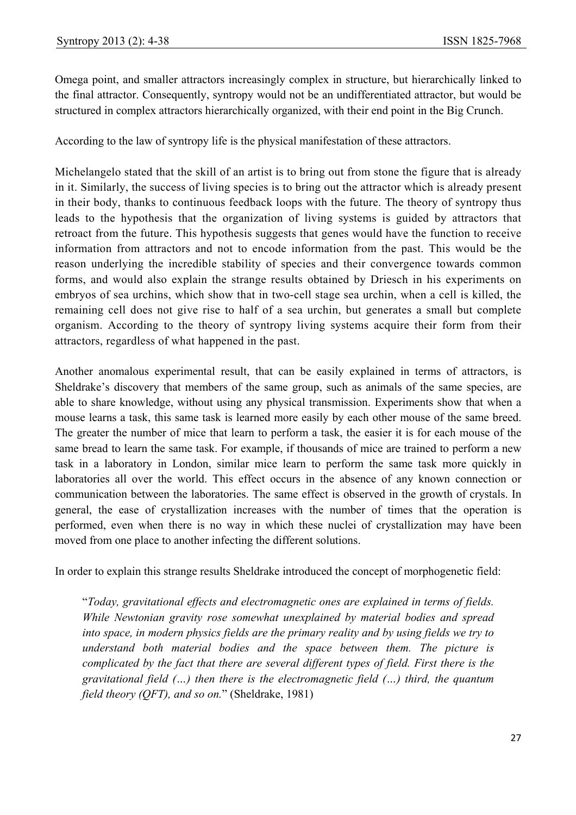Omega point, and smaller attractors increasingly complex in structure, but hierarchically linked to the final attractor. Consequently, syntropy would not be an undifferentiated attractor, but would be structured in complex attractors hierarchically organized, with their end point in the Big Crunch.

According to the law of syntropy life is the physical manifestation of these attractors.

Michelangelo stated that the skill of an artist is to bring out from stone the figure that is already in it. Similarly, the success of living species is to bring out the attractor which is already present in their body, thanks to continuous feedback loops with the future. The theory of syntropy thus leads to the hypothesis that the organization of living systems is guided by attractors that retroact from the future. This hypothesis suggests that genes would have the function to receive information from attractors and not to encode information from the past. This would be the reason underlying the incredible stability of species and their convergence towards common forms, and would also explain the strange results obtained by Driesch in his experiments on embryos of sea urchins, which show that in two-cell stage sea urchin, when a cell is killed, the remaining cell does not give rise to half of a sea urchin, but generates a small but complete organism. According to the theory of syntropy living systems acquire their form from their attractors, regardless of what happened in the past.

Another anomalous experimental result, that can be easily explained in terms of attractors, is Sheldrake's discovery that members of the same group, such as animals of the same species, are able to share knowledge, without using any physical transmission. Experiments show that when a mouse learns a task, this same task is learned more easily by each other mouse of the same breed. The greater the number of mice that learn to perform a task, the easier it is for each mouse of the same bread to learn the same task. For example, if thousands of mice are trained to perform a new task in a laboratory in London, similar mice learn to perform the same task more quickly in laboratories all over the world. This effect occurs in the absence of any known connection or communication between the laboratories. The same effect is observed in the growth of crystals. In general, the ease of crystallization increases with the number of times that the operation is performed, even when there is no way in which these nuclei of crystallization may have been moved from one place to another infecting the different solutions.

In order to explain this strange results Sheldrake introduced the concept of morphogenetic field:

"*Today, gravitational effects and electromagnetic ones are explained in terms of fields. While Newtonian gravity rose somewhat unexplained by material bodies and spread into space, in modern physics fields are the primary reality and by using fields we try to understand both material bodies and the space between them. The picture is complicated by the fact that there are several different types of field. First there is the gravitational field (…) then there is the electromagnetic field (…) third, the quantum field theory (QFT), and so on.*" (Sheldrake, 1981)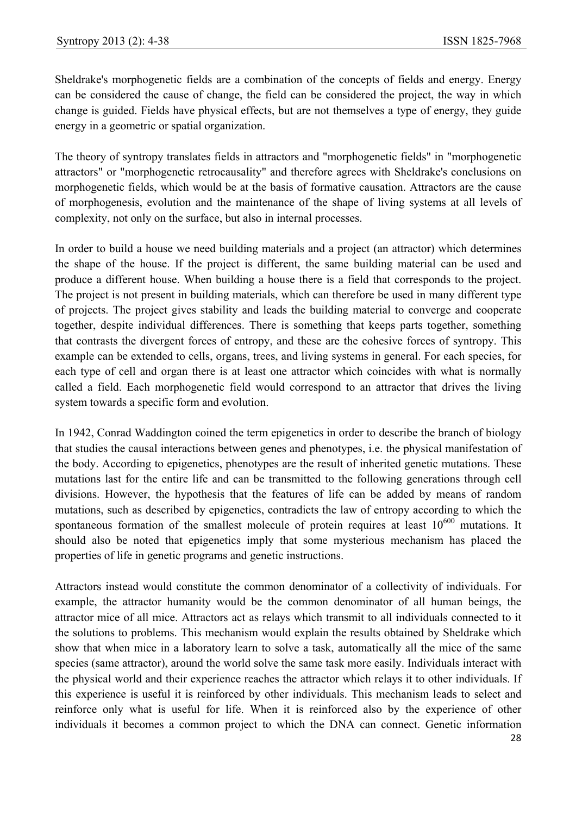Sheldrake's morphogenetic fields are a combination of the concepts of fields and energy. Energy can be considered the cause of change, the field can be considered the project, the way in which change is guided. Fields have physical effects, but are not themselves a type of energy, they guide energy in a geometric or spatial organization.

The theory of syntropy translates fields in attractors and "morphogenetic fields" in "morphogenetic attractors" or "morphogenetic retrocausality" and therefore agrees with Sheldrake's conclusions on morphogenetic fields, which would be at the basis of formative causation. Attractors are the cause of morphogenesis, evolution and the maintenance of the shape of living systems at all levels of complexity, not only on the surface, but also in internal processes.

In order to build a house we need building materials and a project (an attractor) which determines the shape of the house. If the project is different, the same building material can be used and produce a different house. When building a house there is a field that corresponds to the project. The project is not present in building materials, which can therefore be used in many different type of projects. The project gives stability and leads the building material to converge and cooperate together, despite individual differences. There is something that keeps parts together, something that contrasts the divergent forces of entropy, and these are the cohesive forces of syntropy. This example can be extended to cells, organs, trees, and living systems in general. For each species, for each type of cell and organ there is at least one attractor which coincides with what is normally called a field. Each morphogenetic field would correspond to an attractor that drives the living system towards a specific form and evolution.

In 1942, Conrad Waddington coined the term epigenetics in order to describe the branch of biology that studies the causal interactions between genes and phenotypes, i.e. the physical manifestation of the body. According to epigenetics, phenotypes are the result of inherited genetic mutations. These mutations last for the entire life and can be transmitted to the following generations through cell divisions. However, the hypothesis that the features of life can be added by means of random mutations, such as described by epigenetics, contradicts the law of entropy according to which the spontaneous formation of the smallest molecule of protein requires at least  $10^{600}$  mutations. It should also be noted that epigenetics imply that some mysterious mechanism has placed the properties of life in genetic programs and genetic instructions.

Attractors instead would constitute the common denominator of a collectivity of individuals. For example, the attractor humanity would be the common denominator of all human beings, the attractor mice of all mice. Attractors act as relays which transmit to all individuals connected to it the solutions to problems. This mechanism would explain the results obtained by Sheldrake which show that when mice in a laboratory learn to solve a task, automatically all the mice of the same species (same attractor), around the world solve the same task more easily. Individuals interact with the physical world and their experience reaches the attractor which relays it to other individuals. If this experience is useful it is reinforced by other individuals. This mechanism leads to select and reinforce only what is useful for life. When it is reinforced also by the experience of other individuals it becomes a common project to which the DNA can connect. Genetic information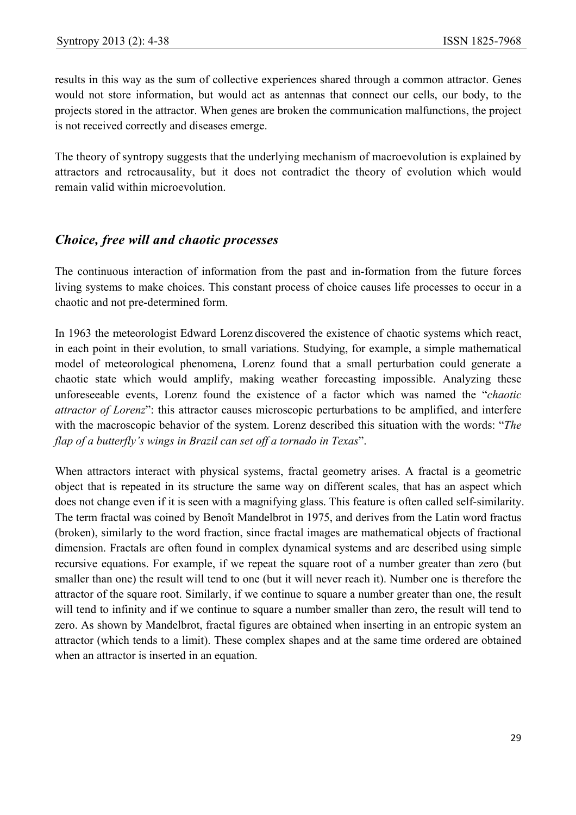results in this way as the sum of collective experiences shared through a common attractor. Genes would not store information, but would act as antennas that connect our cells, our body, to the projects stored in the attractor. When genes are broken the communication malfunctions, the project is not received correctly and diseases emerge.

The theory of syntropy suggests that the underlying mechanism of macroevolution is explained by attractors and retrocausality, but it does not contradict the theory of evolution which would remain valid within microevolution.

## *Choice, free will and chaotic processes*

The continuous interaction of information from the past and in-formation from the future forces living systems to make choices. This constant process of choice causes life processes to occur in a chaotic and not pre-determined form.

In 1963 the meteorologist Edward Lorenz discovered the existence of chaotic systems which react, in each point in their evolution, to small variations. Studying, for example, a simple mathematical model of meteorological phenomena, Lorenz found that a small perturbation could generate a chaotic state which would amplify, making weather forecasting impossible. Analyzing these unforeseeable events, Lorenz found the existence of a factor which was named the "*chaotic attractor of Lorenz*": this attractor causes microscopic perturbations to be amplified, and interfere with the macroscopic behavior of the system. Lorenz described this situation with the words: "*The flap of a butterfly's wings in Brazil can set off a tornado in Texas*".

When attractors interact with physical systems, fractal geometry arises. A fractal is a geometric object that is repeated in its structure the same way on different scales, that has an aspect which does not change even if it is seen with a magnifying glass. This feature is often called self-similarity. The term fractal was coined by Benoît Mandelbrot in 1975, and derives from the Latin word fractus (broken), similarly to the word fraction, since fractal images are mathematical objects of fractional dimension. Fractals are often found in complex dynamical systems and are described using simple recursive equations. For example, if we repeat the square root of a number greater than zero (but smaller than one) the result will tend to one (but it will never reach it). Number one is therefore the attractor of the square root. Similarly, if we continue to square a number greater than one, the result will tend to infinity and if we continue to square a number smaller than zero, the result will tend to zero. As shown by Mandelbrot, fractal figures are obtained when inserting in an entropic system an attractor (which tends to a limit). These complex shapes and at the same time ordered are obtained when an attractor is inserted in an equation.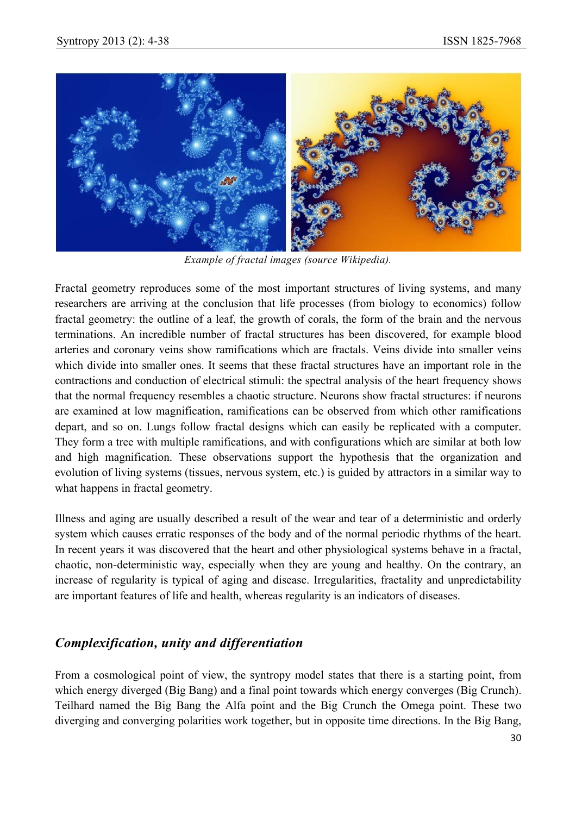

*Example of fractal images (source Wikipedia).* 

Fractal geometry reproduces some of the most important structures of living systems, and many researchers are arriving at the conclusion that life processes (from biology to economics) follow fractal geometry: the outline of a leaf, the growth of corals, the form of the brain and the nervous terminations. An incredible number of fractal structures has been discovered, for example blood arteries and coronary veins show ramifications which are fractals. Veins divide into smaller veins which divide into smaller ones. It seems that these fractal structures have an important role in the contractions and conduction of electrical stimuli: the spectral analysis of the heart frequency shows that the normal frequency resembles a chaotic structure. Neurons show fractal structures: if neurons are examined at low magnification, ramifications can be observed from which other ramifications depart, and so on. Lungs follow fractal designs which can easily be replicated with a computer. They form a tree with multiple ramifications, and with configurations which are similar at both low and high magnification. These observations support the hypothesis that the organization and evolution of living systems (tissues, nervous system, etc.) is guided by attractors in a similar way to what happens in fractal geometry.

Illness and aging are usually described a result of the wear and tear of a deterministic and orderly system which causes erratic responses of the body and of the normal periodic rhythms of the heart. In recent years it was discovered that the heart and other physiological systems behave in a fractal, chaotic, non-deterministic way, especially when they are young and healthy. On the contrary, an increase of regularity is typical of aging and disease. Irregularities, fractality and unpredictability are important features of life and health, whereas regularity is an indicators of diseases.

# *Complexification, unity and differentiation*

From a cosmological point of view, the syntropy model states that there is a starting point, from which energy diverged (Big Bang) and a final point towards which energy converges (Big Crunch). Teilhard named the Big Bang the Alfa point and the Big Crunch the Omega point. These two diverging and converging polarities work together, but in opposite time directions. In the Big Bang,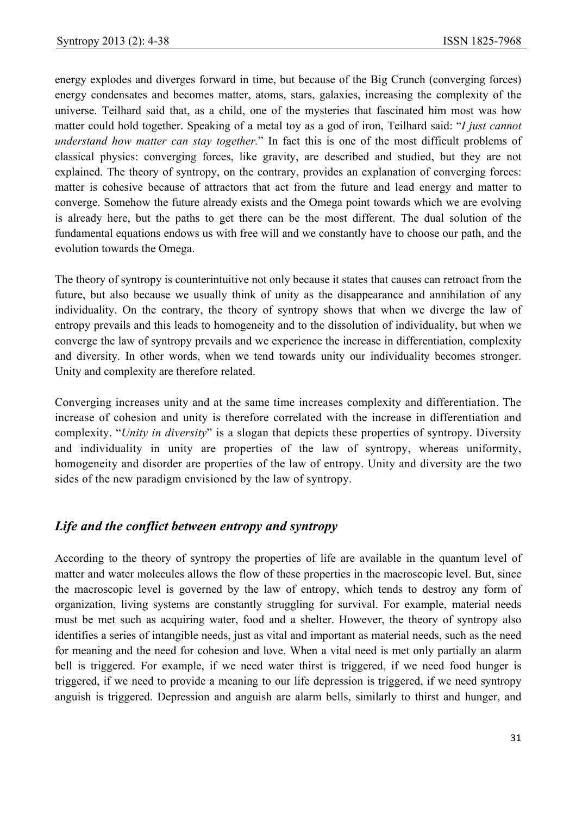energy explodes and diverges forward in time, but because of the Big Crunch (converging forces) energy condensates and becomes matter, atoms, stars, galaxies, increasing the complexity of the universe. Teilhard said that, as a child, one of the mysteries that fascinated him most was how matter could hold together. Speaking of a metal toy as a god of iron, Teilhard said: "*I just cannot understand how matter can stay together.*" In fact this is one of the most difficult problems of classical physics: converging forces, like gravity, are described and studied, but they are not explained. The theory of syntropy, on the contrary, provides an explanation of converging forces: matter is cohesive because of attractors that act from the future and lead energy and matter to converge. Somehow the future already exists and the Omega point towards which we are evolving is already here, but the paths to get there can be the most different. The dual solution of the fundamental equations endows us with free will and we constantly have to choose our path, and the evolution towards the Omega.

The theory of syntropy is counterintuitive not only because it states that causes can retroact from the future, but also because we usually think of unity as the disappearance and annihilation of any individuality. On the contrary, the theory of syntropy shows that when we diverge the law of entropy prevails and this leads to homogeneity and to the dissolution of individuality, but when we converge the law of syntropy prevails and we experience the increase in differentiation, complexity and diversity. In other words, when we tend towards unity our individuality becomes stronger. Unity and complexity are therefore related.

Converging increases unity and at the same time increases complexity and differentiation. The increase of cohesion and unity is therefore correlated with the increase in differentiation and complexity. "*Unity in diversity*" is a slogan that depicts these properties of syntropy. Diversity and individuality in unity are properties of the law of syntropy, whereas uniformity, homogeneity and disorder are properties of the law of entropy. Unity and diversity are the two sides of the new paradigm envisioned by the law of syntropy.

## *Life and the conflict between entropy and syntropy*

According to the theory of syntropy the properties of life are available in the quantum level of matter and water molecules allows the flow of these properties in the macroscopic level. But, since the macroscopic level is governed by the law of entropy, which tends to destroy any form of organization, living systems are constantly struggling for survival. For example, material needs must be met such as acquiring water, food and a shelter. However, the theory of syntropy also identifies a series of intangible needs, just as vital and important as material needs, such as the need for meaning and the need for cohesion and love. When a vital need is met only partially an alarm bell is triggered. For example, if we need water thirst is triggered, if we need food hunger is triggered, if we need to provide a meaning to our life depression is triggered, if we need syntropy anguish is triggered. Depression and anguish are alarm bells, similarly to thirst and hunger, and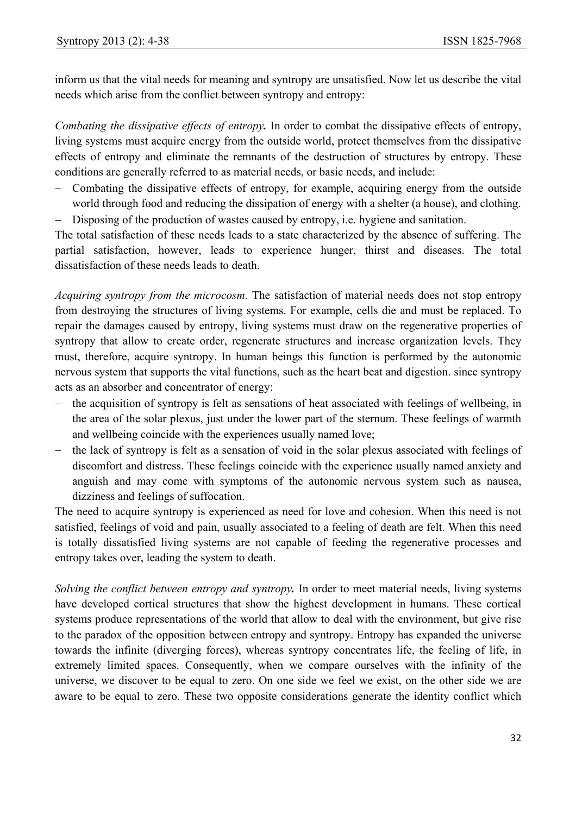inform us that the vital needs for meaning and syntropy are unsatisfied. Now let us describe the vital needs which arise from the conflict between syntropy and entropy:

*Combating the dissipative effects of entropy.* In order to combat the dissipative effects of entropy, living systems must acquire energy from the outside world, protect themselves from the dissipative effects of entropy and eliminate the remnants of the destruction of structures by entropy. These conditions are generally referred to as material needs, or basic needs, and include:

− Combating the dissipative effects of entropy, for example, acquiring energy from the outside world through food and reducing the dissipation of energy with a shelter (a house), and clothing. − Disposing of the production of wastes caused by entropy, i.e. hygiene and sanitation.

The total satisfaction of these needs leads to a state characterized by the absence of suffering. The partial satisfaction, however, leads to experience hunger, thirst and diseases. The total dissatisfaction of these needs leads to death.

*Acquiring syntropy from the microcosm*. The satisfaction of material needs does not stop entropy from destroying the structures of living systems. For example, cells die and must be replaced. To repair the damages caused by entropy, living systems must draw on the regenerative properties of syntropy that allow to create order, regenerate structures and increase organization levels. They must, therefore, acquire syntropy. In human beings this function is performed by the autonomic nervous system that supports the vital functions, such as the heart beat and digestion. since syntropy acts as an absorber and concentrator of energy:

- − the acquisition of syntropy is felt as sensations of heat associated with feelings of wellbeing, in the area of the solar plexus, just under the lower part of the sternum. These feelings of warmth and wellbeing coincide with the experiences usually named love;
- the lack of syntropy is felt as a sensation of void in the solar plexus associated with feelings of discomfort and distress. These feelings coincide with the experience usually named anxiety and anguish and may come with symptoms of the autonomic nervous system such as nausea, dizziness and feelings of suffocation.

The need to acquire syntropy is experienced as need for love and cohesion. When this need is not satisfied, feelings of void and pain, usually associated to a feeling of death are felt. When this need is totally dissatisfied living systems are not capable of feeding the regenerative processes and entropy takes over, leading the system to death.

*Solving the conflict between entropy and syntropy.* In order to meet material needs, living systems have developed cortical structures that show the highest development in humans. These cortical systems produce representations of the world that allow to deal with the environment, but give rise to the paradox of the opposition between entropy and syntropy. Entropy has expanded the universe towards the infinite (diverging forces), whereas syntropy concentrates life, the feeling of life, in extremely limited spaces. Consequently, when we compare ourselves with the infinity of the universe, we discover to be equal to zero. On one side we feel we exist, on the other side we are aware to be equal to zero. These two opposite considerations generate the identity conflict which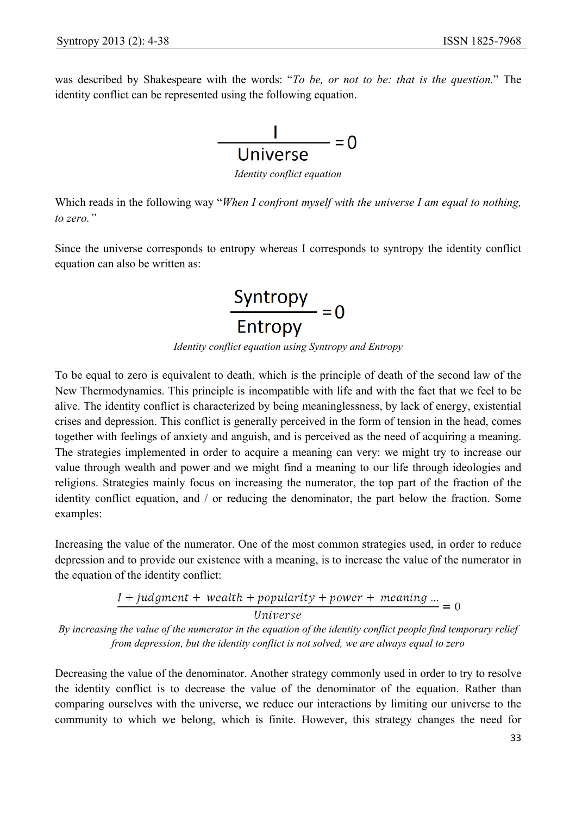was described by Shakespeare with the words: "*To be, or not to be: that is the question.*" The identity conflict can be represented using the following equation.



*Identity conflict equation* 

Which reads in the following way "*When I confront myself with the universe I am equal to nothing, to zero."*

Since the universe corresponds to entropy whereas I corresponds to syntropy the identity conflict equation can also be written as:



*Identity conflict equation using Syntropy and Entropy* 

To be equal to zero is equivalent to death, which is the principle of death of the second law of the New Thermodynamics. This principle is incompatible with life and with the fact that we feel to be alive. The identity conflict is characterized by being meaninglessness, by lack of energy, existential crises and depression. This conflict is generally perceived in the form of tension in the head, comes together with feelings of anxiety and anguish, and is perceived as the need of acquiring a meaning. The strategies implemented in order to acquire a meaning can very: we might try to increase our value through wealth and power and we might find a meaning to our life through ideologies and religions. Strategies mainly focus on increasing the numerator, the top part of the fraction of the identity conflict equation, and / or reducing the denominator, the part below the fraction. Some examples:

Increasing the value of the numerator. One of the most common strategies used, in order to reduce depression and to provide our existence with a meaning, is to increase the value of the numerator in the equation of the identity conflict:

 $I + judgment + wealth + popularity + power + meaning ... = 0$ 

**Universe** 

*By increasing the value of the numerator in the equation of the identity conflict people find temporary relief from depression, but the identity conflict is not solved, we are always equal to zero* 

Decreasing the value of the denominator. Another strategy commonly used in order to try to resolve the identity conflict is to decrease the value of the denominator of the equation. Rather than comparing ourselves with the universe, we reduce our interactions by limiting our universe to the community to which we belong, which is finite. However, this strategy changes the need for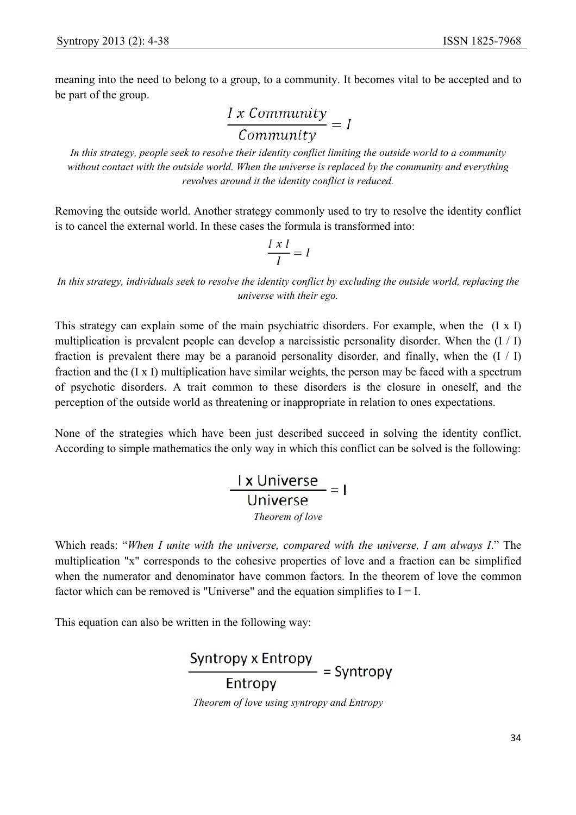meaning into the need to belong to a group, to a community. It becomes vital to be accepted and to be part of the group.

 $\frac{I x \text{ Community}}{Commuty} = I$ 

*In this strategy, people seek to resolve their identity conflict limiting the outside world to a community without contact with the outside world. When the universe is replaced by the community and everything revolves around it the identity conflict is reduced.* 

Removing the outside world. Another strategy commonly used to try to resolve the identity conflict is to cancel the external world. In these cases the formula is transformed into:

$$
\frac{I \times I}{I} = I
$$

In this strategy, individuals seek to resolve the identity conflict by excluding the outside world, replacing the *universe with their ego.* 

This strategy can explain some of the main psychiatric disorders. For example, when the (I x I) multiplication is prevalent people can develop a narcissistic personality disorder. When the  $(I / I)$ fraction is prevalent there may be a paranoid personality disorder, and finally, when the  $(I / I)$ fraction and the (I x I) multiplication have similar weights, the person may be faced with a spectrum of psychotic disorders. A trait common to these disorders is the closure in oneself, and the perception of the outside world as threatening or inappropriate in relation to ones expectations.

None of the strategies which have been just described succeed in solving the identity conflict. According to simple mathematics the only way in which this conflict can be solved is the following:

$$
\frac{I \times Universe}{Universe}
$$
 = 1  
*Theorem of love*

Which reads: "*When I unite with the universe, compared with the universe, I am always I*." The multiplication "x" corresponds to the cohesive properties of love and a fraction can be simplified when the numerator and denominator have common factors. In the theorem of love the common factor which can be removed is "Universe" and the equation simplifies to  $I = I$ .

This equation can also be written in the following way:

 $\frac{\text{Syntropy x Entropy}}{\text{Entropy}} = \text{Syntropy}$ *Theorem of love using syntropy and Entropy*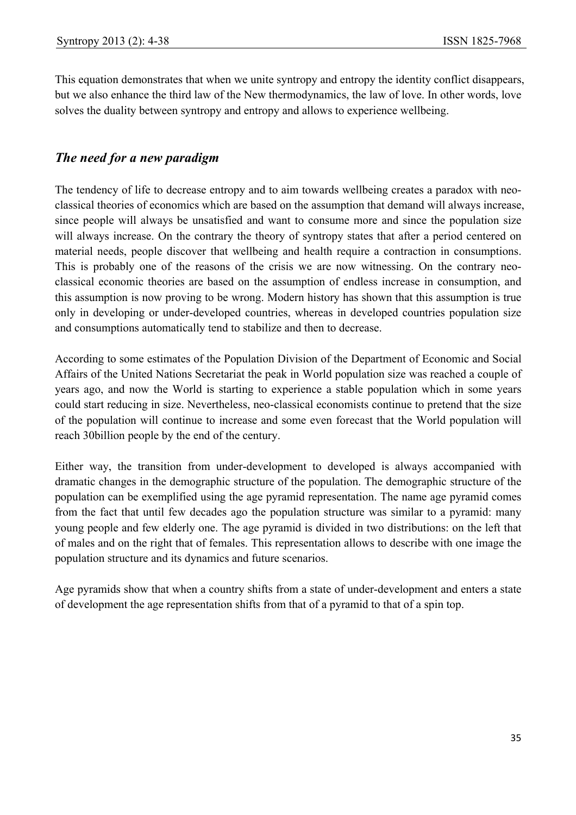This equation demonstrates that when we unite syntropy and entropy the identity conflict disappears, but we also enhance the third law of the New thermodynamics, the law of love. In other words, love solves the duality between syntropy and entropy and allows to experience wellbeing.

# *The need for a new paradigm*

The tendency of life to decrease entropy and to aim towards wellbeing creates a paradox with neoclassical theories of economics which are based on the assumption that demand will always increase, since people will always be unsatisfied and want to consume more and since the population size will always increase. On the contrary the theory of syntropy states that after a period centered on material needs, people discover that wellbeing and health require a contraction in consumptions. This is probably one of the reasons of the crisis we are now witnessing. On the contrary neoclassical economic theories are based on the assumption of endless increase in consumption, and this assumption is now proving to be wrong. Modern history has shown that this assumption is true only in developing or under-developed countries, whereas in developed countries population size and consumptions automatically tend to stabilize and then to decrease.

According to some estimates of the Population Division of the Department of Economic and Social Affairs of the United Nations Secretariat the peak in World population size was reached a couple of years ago, and now the World is starting to experience a stable population which in some years could start reducing in size. Nevertheless, neo-classical economists continue to pretend that the size of the population will continue to increase and some even forecast that the World population will reach 30billion people by the end of the century.

Either way, the transition from under-development to developed is always accompanied with dramatic changes in the demographic structure of the population. The demographic structure of the population can be exemplified using the age pyramid representation. The name age pyramid comes from the fact that until few decades ago the population structure was similar to a pyramid: many young people and few elderly one. The age pyramid is divided in two distributions: on the left that of males and on the right that of females. This representation allows to describe with one image the population structure and its dynamics and future scenarios.

Age pyramids show that when a country shifts from a state of under-development and enters a state of development the age representation shifts from that of a pyramid to that of a spin top.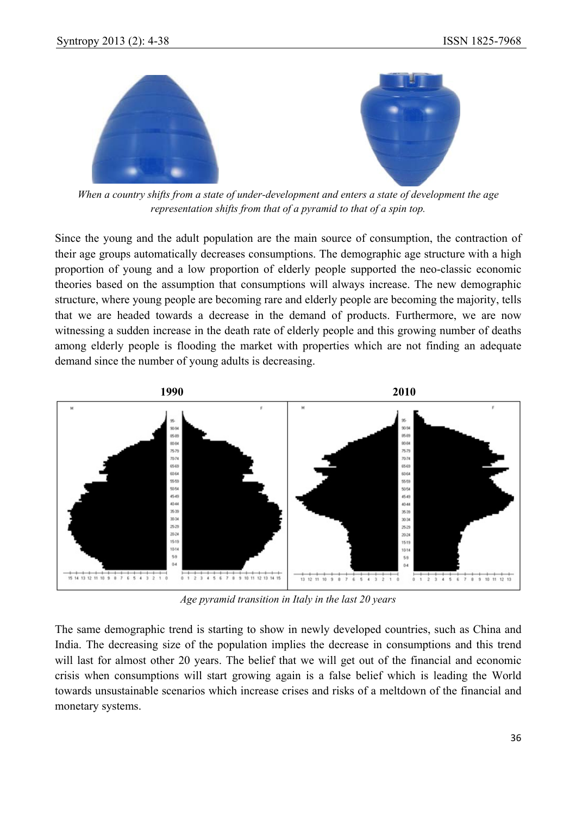

*When a country shifts from a state of under-development and enters a state of development the age representation shifts from that of a pyramid to that of a spin top.* 

Since the young and the adult population are the main source of consumption, the contraction of their age groups automatically decreases consumptions. The demographic age structure with a high proportion of young and a low proportion of elderly people supported the neo-classic economic theories based on the assumption that consumptions will always increase. The new demographic structure, where young people are becoming rare and elderly people are becoming the majority, tells that we are headed towards a decrease in the demand of products. Furthermore, we are now witnessing a sudden increase in the death rate of elderly people and this growing number of deaths among elderly people is flooding the market with properties which are not finding an adequate demand since the number of young adults is decreasing.



*Age pyramid transition in Italy in the last 20 years* 

The same demographic trend is starting to show in newly developed countries, such as China and India. The decreasing size of the population implies the decrease in consumptions and this trend will last for almost other 20 years. The belief that we will get out of the financial and economic crisis when consumptions will start growing again is a false belief which is leading the World towards unsustainable scenarios which increase crises and risks of a meltdown of the financial and monetary systems.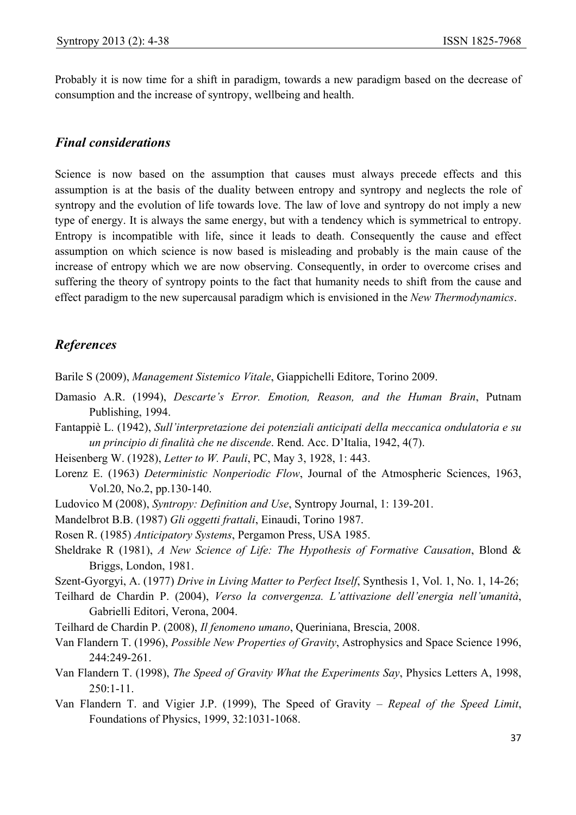Probably it is now time for a shift in paradigm, towards a new paradigm based on the decrease of consumption and the increase of syntropy, wellbeing and health.

## *Final considerations*

Science is now based on the assumption that causes must always precede effects and this assumption is at the basis of the duality between entropy and syntropy and neglects the role of syntropy and the evolution of life towards love. The law of love and syntropy do not imply a new type of energy. It is always the same energy, but with a tendency which is symmetrical to entropy. Entropy is incompatible with life, since it leads to death. Consequently the cause and effect assumption on which science is now based is misleading and probably is the main cause of the increase of entropy which we are now observing. Consequently, in order to overcome crises and suffering the theory of syntropy points to the fact that humanity needs to shift from the cause and effect paradigm to the new supercausal paradigm which is envisioned in the *New Thermodynamics*.

# *References*

Barile S (2009), *Management Sistemico Vitale*, Giappichelli Editore, Torino 2009.

- Damasio A.R. (1994), *Descarte's Error. Emotion, Reason, and the Human Brain*, Putnam Publishing, 1994.
- Fantappiè L. (1942), *Sull'interpretazione dei potenziali anticipati della meccanica ondulatoria e su un principio di finalità che ne discende*. Rend. Acc. D'Italia, 1942, 4(7).
- Heisenberg W. (1928), *Letter to W. Pauli*, PC, May 3, 1928, 1: 443.
- Lorenz E. (1963) *Deterministic Nonperiodic Flow*, Journal of the Atmospheric Sciences, 1963, Vol.20, No.2, pp.130-140.
- Ludovico M (2008), *Syntropy: Definition and Use*, Syntropy Journal, 1: 139-201.
- Mandelbrot B.B. (1987) *Gli oggetti frattali*, Einaudi, Torino 1987.
- Rosen R. (1985) *Anticipatory Systems*, Pergamon Press, USA 1985.
- Sheldrake R (1981), *A New Science of Life: The Hypothesis of Formative Causation*, Blond & Briggs, London, 1981.
- Szent-Gyorgyi, A. (1977) *Drive in Living Matter to Perfect Itself*, Synthesis 1, Vol. 1, No. 1, 14-26;
- Teilhard de Chardin P. (2004), *Verso la convergenza. L'attivazione dell'energia nell'umanità*, Gabrielli Editori, Verona, 2004.
- Teilhard de Chardin P. (2008), *Il fenomeno umano*, Queriniana, Brescia, 2008.
- Van Flandern T. (1996), *Possible New Properties of Gravity*, Astrophysics and Space Science 1996, 244:249-261.
- Van Flandern T. (1998), *The Speed of Gravity What the Experiments Say*, Physics Letters A, 1998,  $250:1-11$ .
- Van Flandern T. and Vigier J.P. (1999), The Speed of Gravity *Repeal of the Speed Limit*, Foundations of Physics, 1999, 32:1031-1068.